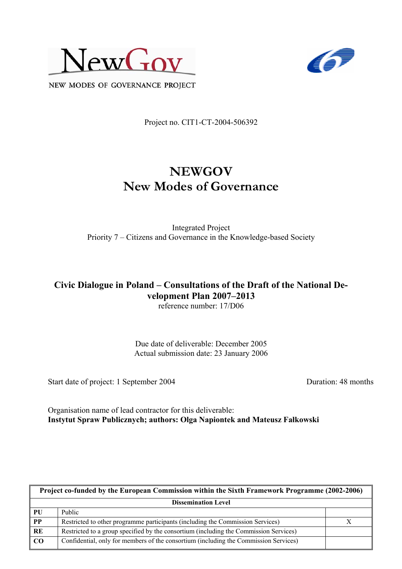



NEW MODES OF GOVERNANCE PROJECT

Project no. CIT1-CT-2004-506392

# **NEWGOV New Modes of Governance**

Integrated Project Priority 7 – Citizens and Governance in the Knowledge-based Society

# **Civic Dialogue in Poland – Consultations of the Draft of the National Development Plan 2007–2013**

reference number: 17/D06

Due date of deliverable: December 2005 Actual submission date: 23 January 2006

Start date of project: 1 September 2004 Duration: 48 months

Organisation name of lead contractor for this deliverable: **Instytut Spraw Publicznych; authors: Olga Napiontek and Mateusz Fałkowski** 

| Project co-funded by the European Commission within the Sixth Framework Programme (2002-2006) |                                                                                       |  |  |
|-----------------------------------------------------------------------------------------------|---------------------------------------------------------------------------------------|--|--|
| <b>Dissemination Level</b>                                                                    |                                                                                       |  |  |
| PU                                                                                            | Public                                                                                |  |  |
| PP                                                                                            | Restricted to other programme participants (including the Commission Services)        |  |  |
| RE                                                                                            | Restricted to a group specified by the consortium (including the Commission Services) |  |  |
| $\bf CO$                                                                                      | Confidential, only for members of the consortium (including the Commission Services)  |  |  |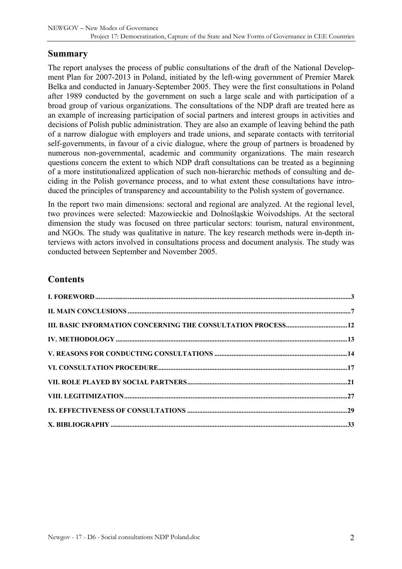### **Summary**

The report analyses the process of public consultations of the draft of the National Development Plan for 2007-2013 in Poland, initiated by the left-wing government of Premier Marek Belka and conducted in January-September 2005. They were the first consultations in Poland after 1989 conducted by the government on such a large scale and with participation of a broad group of various organizations. The consultations of the NDP draft are treated here as an example of increasing participation of social partners and interest groups in activities and decisions of Polish public administration. They are also an example of leaving behind the path of a narrow dialogue with employers and trade unions, and separate contacts with territorial self-governments, in favour of a civic dialogue, where the group of partners is broadened by numerous non-governmental, academic and community organizations. The main research questions concern the extent to which NDP draft consultations can be treated as a beginning of a more institutionalized application of such non-hierarchic methods of consulting and deciding in the Polish governance process, and to what extent these consultations have introduced the principles of transparency and accountability to the Polish system of governance.

In the report two main dimensions: sectoral and regional are analyzed. At the regional level, two provinces were selected: Mazowieckie and Dolnośląskie Woivodships. At the sectoral dimension the study was focused on three particular sectors: tourism, natural environment, and NGOs. The study was qualitative in nature. The key research methods were in-depth interviews with actors involved in consultations process and document analysis. The study was conducted between September and November 2005.

### **Contents**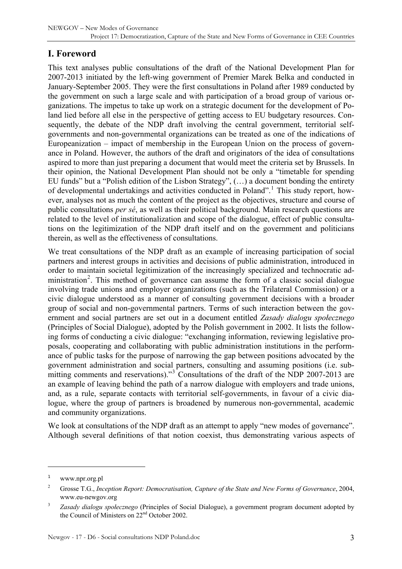# <span id="page-2-0"></span>**I. Foreword**

This text analyses public consultations of the draft of the National Development Plan for 2007-2013 initiated by the left-wing government of Premier Marek Belka and conducted in January-September 2005. They were the first consultations in Poland after 1989 conducted by the government on such a large scale and with participation of a broad group of various organizations. The impetus to take up work on a strategic document for the development of Poland lied before all else in the perspective of getting access to EU budgetary resources. Consequently, the debate of the NDP draft involving the central government, territorial selfgovernments and non-governmental organizations can be treated as one of the indications of Europeanization – impact of membership in the European Union on the process of governance in Poland. However, the authors of the draft and originators of the idea of consultations aspired to more than just preparing a document that would meet the criteria set by Brussels. In their opinion, the National Development Plan should not be only a "timetable for spending EU funds" but a "Polish edition of the Lisbon Strategy", (…) a document bonding the entirety of developmental undertakings and activities conducted in Poland".<sup>[1](#page-2-1)</sup> This study report, however, analyses not as much the content of the project as the objectives, structure and course of public consultations *per sé*, as well as their political background. Main research questions are related to the level of institutionalization and scope of the dialogue, effect of public consultations on the legitimization of the NDP draft itself and on the government and politicians therein, as well as the effectiveness of consultations.

We treat consultations of the NDP draft as an example of increasing participation of social partners and interest groups in activities and decisions of public administration, introduced in order to maintain societal legitimization of the increasingly specialized and technocratic ad-ministration<sup>[2](#page-2-2)</sup>. This method of governance can assume the form of a classic social dialogue involving trade unions and employer organizations (such as the Trilateral Commission) or a civic dialogue understood as a manner of consulting government decisions with a broader group of social and non-governmental partners. Terms of such interaction between the government and social partners are set out in a document entitled *Zasady dialogu społecznego*  (Principles of Social Dialogue), adopted by the Polish government in 2002. It lists the following forms of conducting a civic dialogue: "exchanging information, reviewing legislative proposals, cooperating and collaborating with public administration institutions in the performance of public tasks for the purpose of narrowing the gap between positions advocated by the government administration and social partners, consulting and assuming positions (i.e. sub-mitting comments and reservations)."<sup>[3](#page-2-3)</sup> Consultations of the draft of the NDP 2007-2013 are an example of leaving behind the path of a narrow dialogue with employers and trade unions, and, as a rule, separate contacts with territorial self-governments, in favour of a civic dialogue, where the group of partners is broadened by numerous non-governmental, academic and community organizations.

We look at consultations of the NDP draft as an attempt to apply "new modes of governance". Although several definitions of that notion coexist, thus demonstrating various aspects of

<span id="page-2-1"></span><sup>1</sup> www.npr.org.pl

<span id="page-2-2"></span><sup>2</sup> Grosse T.G., *Inception Report: Democratisation, Capture of the State and New Forms of Governance*, 2004, www.eu-newgov.org

<span id="page-2-3"></span><sup>3</sup> *Zasady dialogu społecznego* (Principles of Social Dialogue), a government program document adopted by the Council of Ministers on 22nd October 2002.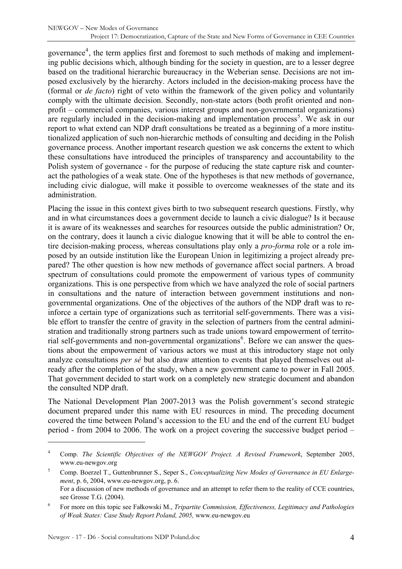governance<sup>[4](#page-3-0)</sup>, the term applies first and foremost to such methods of making and implementing public decisions which, although binding for the society in question, are to a lesser degree based on the traditional hierarchic bureaucracy in the Weberian sense. Decisions are not imposed exclusively by the hierarchy. Actors included in the decision-making process have the (formal or *de facto*) right of veto within the framework of the given policy and voluntarily comply with the ultimate decision. Secondly, non-state actors (both profit oriented and nonprofit – commercial companies, various interest groups and non-governmental organizations) are regularly included in the decision-making and implementation process<sup>[5](#page-3-1)</sup>. We ask in our report to what extend can NDP draft consultations be treated as a beginning of a more institutionalized application of such non-hierarchic methods of consulting and deciding in the Polish governance process. Another important research question we ask concerns the extent to which these consultations have introduced the principles of transparency and accountability to the Polish system of governance - for the purpose of reducing the state capture risk and counteract the pathologies of a weak state. One of the hypotheses is that new methods of governance, including civic dialogue, will make it possible to overcome weaknesses of the state and its administration.

Placing the issue in this context gives birth to two subsequent research questions. Firstly, why and in what circumstances does a government decide to launch a civic dialogue? Is it because it is aware of its weaknesses and searches for resources outside the public administration? Or, on the contrary, does it launch a civic dialogue knowing that it will be able to control the entire decision-making process, whereas consultations play only a *pro-forma* role or a role imposed by an outside institution like the European Union in legitimizing a project already prepared? The other question is how new methods of governance affect social partners. A broad spectrum of consultations could promote the empowerment of various types of community organizations. This is one perspective from which we have analyzed the role of social partners in consultations and the nature of interaction between government institutions and nongovernmental organizations. One of the objectives of the authors of the NDP draft was to reinforce a certain type of organizations such as territorial self-governments. There was a visible effort to transfer the centre of gravity in the selection of partners from the central administration and traditionally strong partners such as trade unions toward empowerment of territo-rial self-governments and non-governmental organizations<sup>[6](#page-3-2)</sup>. Before we can answer the questions about the empowerment of various actors we must at this introductory stage not only analyze consultations *per sé* but also draw attention to events that played themselves out already after the completion of the study, when a new government came to power in Fall 2005. That government decided to start work on a completely new strategic document and abandon the consulted NDP draft.

The National Development Plan 2007-2013 was the Polish government's second strategic document prepared under this name with EU resources in mind. The preceding document covered the time between Poland's accession to the EU and the end of the current EU budget period - from 2004 to 2006. The work on a project covering the successive budget period –

<span id="page-3-0"></span><sup>4</sup> Comp. *The Scientific Objectives of the NEWGOV Project. A Revised Framework*, September 2005, www.eu-newgov.org

<span id="page-3-1"></span><sup>5</sup> Comp. Boerzel T., Guttenbrunner S., Seper S., *Conceptualizing New Modes of Governance in EU Enlargement*, p. 6, 2004, www.eu-newgov.org, p. 6. For a discussion of new methods of governance and an attempt to refer them to the reality of CCE countries, see Grosse T.G. (2004).

<span id="page-3-2"></span><sup>6</sup> For more on this topic see Fałkowski M., *Tripartite Commission, Effectiveness, Legitimacy and Pathologies of Weak States: Case Study Report Poland, 2005,* www.eu-newgov.eu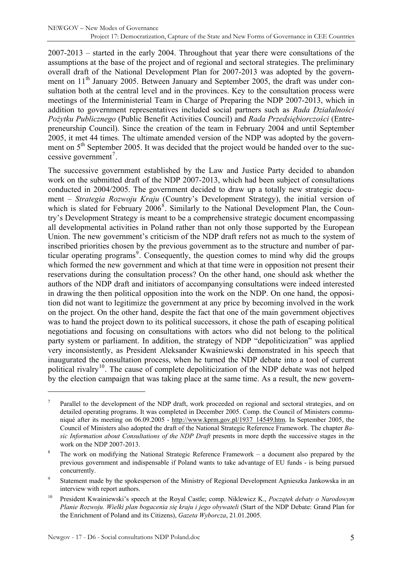2007-2013 – started in the early 2004. Throughout that year there were consultations of the assumptions at the base of the project and of regional and sectoral strategies. The preliminary overall draft of the National Development Plan for 2007-2013 was adopted by the government on 11<sup>th</sup> January 2005. Between January and September 2005, the draft was under consultation both at the central level and in the provinces. Key to the consultation process were meetings of the Interministerial Team in Charge of Preparing the NDP 2007-2013, which in addition to government representatives included social partners such as *Rada Działalności Pożytku Publicznego* (Public Benefit Activities Council) and *Rada Przedsiębiorczości* (Entrepreneurship Council). Since the creation of the team in February 2004 and until September 2005, it met 44 times. The ultimate amended version of the NDP was adopted by the government on  $5<sup>th</sup>$  September 2005. It was decided that the project would be handed over to the suc-cessive government<sup>[7](#page-4-0)</sup>.

The successive government established by the Law and Justice Party decided to abandon work on the submitted draft of the NDP 2007-2013, which had been subject of consultations conducted in 2004/2005. The government decided to draw up a totally new strategic document – *Strategia Rozwoju Kraju* (Country's Development Strategy), the initial version of which is slated for February  $2006^8$  $2006^8$ . Similarly to the National Development Plan, the Country's Development Strategy is meant to be a comprehensive strategic document encompassing all developmental activities in Poland rather than not only those supported by the European Union. The new government's criticism of the NDP draft refers not as much to the system of inscribed priorities chosen by the previous government as to the structure and number of par-ticular operating programs<sup>[9](#page-4-2)</sup>. Consequently, the question comes to mind why did the groups which formed the new government and which at that time were in opposition not present their reservations during the consultation process? On the other hand, one should ask whether the authors of the NDP draft and initiators of accompanying consultations were indeed interested in drawing the then political opposition into the work on the NDP. On one hand, the opposition did not want to legitimize the government at any price by becoming involved in the work on the project. On the other hand, despite the fact that one of the main government objectives was to hand the project down to its political successors, it chose the path of escaping political negotiations and focusing on consultations with actors who did not belong to the political party system or parliament. In addition, the strategy of NDP "depoliticization" was applied very inconsistently, as President Aleksander Kwaśniewski demonstrated in his speech that inaugurated the consultation process, when he turned the NDP debate into a tool of current political rivalry<sup>[10](#page-4-3)</sup>. The cause of complete depoliticization of the NDP debate was not helped by the election campaign that was taking place at the same time. As a result, the new govern-

<span id="page-4-0"></span><sup>7</sup> Parallel to the development of the NDP draft, work proceeded on regional and sectoral strategies, and on detailed operating programs. It was completed in December 2005. Comp. the Council of Ministers communiqué after its meeting on 06.09.2005 - [http://www.kprm.gov.pl/1937\\_14549.htm.](http://www.kprm.gov.pl/1937_14549.htm) In September 2005, the Council of Ministers also adopted the draft of the National Strategic Reference Framework. The chapter *Basic Information about Consultations of the NDP Draft* presents in more depth the successive stages in the work on the NDP 2007-2013.

<span id="page-4-1"></span><sup>8</sup> The work on modifying the National Strategic Reference Framework – a document also prepared by the previous government and indispensable if Poland wants to take advantage of EU funds - is being pursued concurrently.

<span id="page-4-2"></span><sup>9</sup> Statement made by the spokesperson of the Ministry of Regional Development Agnieszka Jankowska in an interview with report authors.

<span id="page-4-3"></span><sup>10</sup> President Kwaśniewski's speech at the Royal Castle; comp. Niklewicz K., *Początek debaty o Narodowym Planie Rozwoju. Wielki plan bogacenia się kraju i jego obywateli* (Start of the NDP Debate: Grand Plan for the Enrichment of Poland and its Citizens), *Gazeta Wyborcza*, 21.01.2005.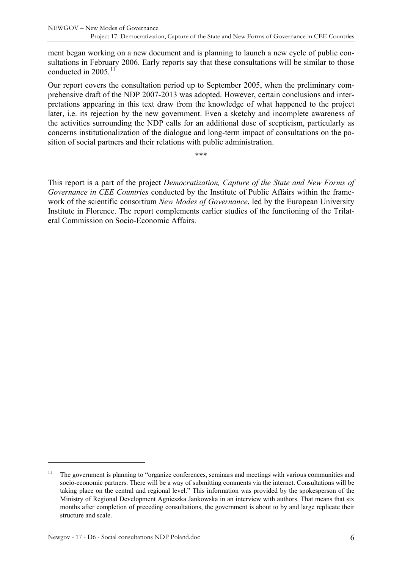ment began working on a new document and is planning to launch a new cycle of public consultations in February 2006. Early reports say that these consultations will be similar to those conducted in 2005.<sup>[11](#page-5-0)</sup>

Our report covers the consultation period up to September 2005, when the preliminary comprehensive draft of the NDP 2007-2013 was adopted. However, certain conclusions and interpretations appearing in this text draw from the knowledge of what happened to the project later, i.e. its rejection by the new government. Even a sketchy and incomplete awareness of the activities surrounding the NDP calls for an additional dose of scepticism, particularly as concerns institutionalization of the dialogue and long-term impact of consultations on the position of social partners and their relations with public administration.

\*\*\*

This report is a part of the project *Democratization, Capture of the State and New Forms of Governance in CEE Countries* conducted by the Institute of Public Affairs within the framework of the scientific consortium *New Modes of Governance*, led by the European University Institute in Florence. The report complements earlier studies of the functioning of the Trilateral Commission on Socio-Economic Affairs.

<span id="page-5-0"></span> $11$  The government is planning to "organize conferences, seminars and meetings with various communities and socio-economic partners. There will be a way of submitting comments via the internet. Consultations will be taking place on the central and regional level." This information was provided by the spokesperson of the Ministry of Regional Development Agnieszka Jankowska in an interview with authors. That means that six months after completion of preceding consultations, the government is about to by and large replicate their structure and scale.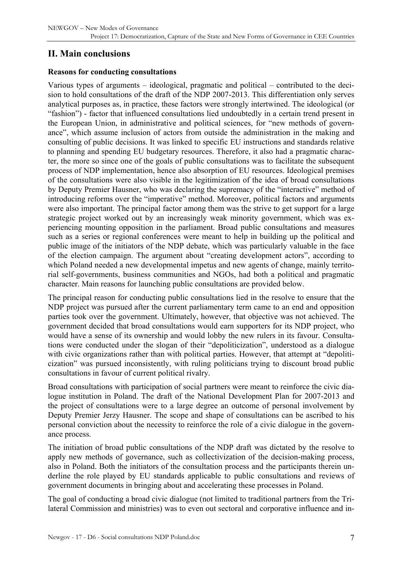# <span id="page-6-0"></span>**II. Main conclusions**

#### **Reasons for conducting consultations**

Various types of arguments – ideological, pragmatic and political – contributed to the decision to hold consultations of the draft of the NDP 2007-2013. This differentiation only serves analytical purposes as, in practice, these factors were strongly intertwined. The ideological (or "fashion") - factor that influenced consultations lied undoubtedly in a certain trend present in the European Union, in administrative and political sciences, for "new methods of governance", which assume inclusion of actors from outside the administration in the making and consulting of public decisions. It was linked to specific EU instructions and standards relative to planning and spending EU budgetary resources. Therefore, it also had a pragmatic character, the more so since one of the goals of public consultations was to facilitate the subsequent process of NDP implementation, hence also absorption of EU resources. Ideological premises of the consultations were also visible in the legitimization of the idea of broad consultations by Deputy Premier Hausner, who was declaring the supremacy of the "interactive" method of introducing reforms over the "imperative" method. Moreover, political factors and arguments were also important. The principal factor among them was the strive to get support for a large strategic project worked out by an increasingly weak minority government, which was experiencing mounting opposition in the parliament. Broad public consultations and measures such as a series or regional conferences were meant to help in building up the political and public image of the initiators of the NDP debate, which was particularly valuable in the face of the election campaign. The argument about "creating development actors", according to which Poland needed a new developmental impetus and new agents of change, mainly territorial self-governments, business communities and NGOs, had both a political and pragmatic character. Main reasons for launching public consultations are provided below.

The principal reason for conducting public consultations lied in the resolve to ensure that the NDP project was pursued after the current parliamentary term came to an end and opposition parties took over the government. Ultimately, however, that objective was not achieved. The government decided that broad consultations would earn supporters for its NDP project, who would have a sense of its ownership and would lobby the new rulers in its favour. Consultations were conducted under the slogan of their "depoliticization", understood as a dialogue with civic organizations rather than with political parties. However, that attempt at "depoliticization" was pursued inconsistently, with ruling politicians trying to discount broad public consultations in favour of current political rivalry.

Broad consultations with participation of social partners were meant to reinforce the civic dialogue institution in Poland. The draft of the National Development Plan for 2007-2013 and the project of consultations were to a large degree an outcome of personal involvement by Deputy Premier Jerzy Hausner. The scope and shape of consultations can be ascribed to his personal conviction about the necessity to reinforce the role of a civic dialogue in the governance process.

The initiation of broad public consultations of the NDP draft was dictated by the resolve to apply new methods of governance, such as collectivization of the decision-making process, also in Poland. Both the initiators of the consultation process and the participants therein underline the role played by EU standards applicable to public consultations and reviews of government documents in bringing about and accelerating these processes in Poland.

The goal of conducting a broad civic dialogue (not limited to traditional partners from the Trilateral Commission and ministries) was to even out sectoral and corporative influence and in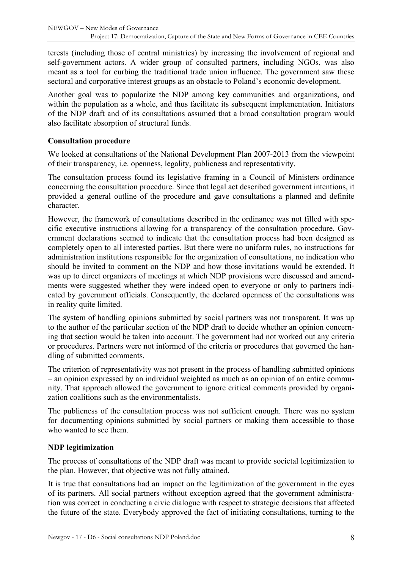terests (including those of central ministries) by increasing the involvement of regional and self-government actors. A wider group of consulted partners, including NGOs, was also meant as a tool for curbing the traditional trade union influence. The government saw these sectoral and corporative interest groups as an obstacle to Poland's economic development.

Another goal was to popularize the NDP among key communities and organizations, and within the population as a whole, and thus facilitate its subsequent implementation. Initiators of the NDP draft and of its consultations assumed that a broad consultation program would also facilitate absorption of structural funds.

#### **Consultation procedure**

We looked at consultations of the National Development Plan 2007-2013 from the viewpoint of their transparency, i.e. openness, legality, publicness and representativity.

The consultation process found its legislative framing in a Council of Ministers ordinance concerning the consultation procedure. Since that legal act described government intentions, it provided a general outline of the procedure and gave consultations a planned and definite character.

However, the framework of consultations described in the ordinance was not filled with specific executive instructions allowing for a transparency of the consultation procedure. Government declarations seemed to indicate that the consultation process had been designed as completely open to all interested parties. But there were no uniform rules, no instructions for administration institutions responsible for the organization of consultations, no indication who should be invited to comment on the NDP and how those invitations would be extended. It was up to direct organizers of meetings at which NDP provisions were discussed and amendments were suggested whether they were indeed open to everyone or only to partners indicated by government officials. Consequently, the declared openness of the consultations was in reality quite limited.

The system of handling opinions submitted by social partners was not transparent. It was up to the author of the particular section of the NDP draft to decide whether an opinion concerning that section would be taken into account. The government had not worked out any criteria or procedures. Partners were not informed of the criteria or procedures that governed the handling of submitted comments.

The criterion of representativity was not present in the process of handling submitted opinions – an opinion expressed by an individual weighted as much as an opinion of an entire community. That approach allowed the government to ignore critical comments provided by organization coalitions such as the environmentalists.

The publicness of the consultation process was not sufficient enough. There was no system for documenting opinions submitted by social partners or making them accessible to those who wanted to see them.

#### **NDP legitimization**

The process of consultations of the NDP draft was meant to provide societal legitimization to the plan. However, that objective was not fully attained.

It is true that consultations had an impact on the legitimization of the government in the eyes of its partners. All social partners without exception agreed that the government administration was correct in conducting a civic dialogue with respect to strategic decisions that affected the future of the state. Everybody approved the fact of initiating consultations, turning to the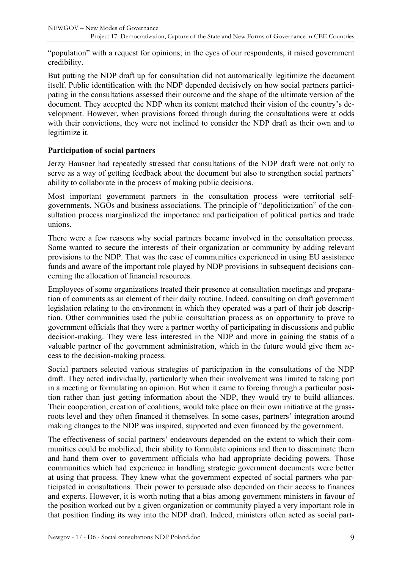"population" with a request for opinions; in the eyes of our respondents, it raised government credibility.

But putting the NDP draft up for consultation did not automatically legitimize the document itself. Public identification with the NDP depended decisively on how social partners participating in the consultations assessed their outcome and the shape of the ultimate version of the document. They accepted the NDP when its content matched their vision of the country's development. However, when provisions forced through during the consultations were at odds with their convictions, they were not inclined to consider the NDP draft as their own and to legitimize it.

#### **Participation of social partners**

Jerzy Hausner had repeatedly stressed that consultations of the NDP draft were not only to serve as a way of getting feedback about the document but also to strengthen social partners' ability to collaborate in the process of making public decisions.

Most important government partners in the consultation process were territorial selfgovernments, NGOs and business associations. The principle of "depoliticization" of the consultation process marginalized the importance and participation of political parties and trade unions.

There were a few reasons why social partners became involved in the consultation process. Some wanted to secure the interests of their organization or community by adding relevant provisions to the NDP. That was the case of communities experienced in using EU assistance funds and aware of the important role played by NDP provisions in subsequent decisions concerning the allocation of financial resources.

Employees of some organizations treated their presence at consultation meetings and preparation of comments as an element of their daily routine. Indeed, consulting on draft government legislation relating to the environment in which they operated was a part of their job description. Other communities used the public consultation process as an opportunity to prove to government officials that they were a partner worthy of participating in discussions and public decision-making. They were less interested in the NDP and more in gaining the status of a valuable partner of the government administration, which in the future would give them access to the decision-making process.

Social partners selected various strategies of participation in the consultations of the NDP draft. They acted individually, particularly when their involvement was limited to taking part in a meeting or formulating an opinion. But when it came to forcing through a particular position rather than just getting information about the NDP, they would try to build alliances. Their cooperation, creation of coalitions, would take place on their own initiative at the grassroots level and they often financed it themselves. In some cases, partners' integration around making changes to the NDP was inspired, supported and even financed by the government.

The effectiveness of social partners' endeavours depended on the extent to which their communities could be mobilized, their ability to formulate opinions and then to disseminate them and hand them over to government officials who had appropriate deciding powers. Those communities which had experience in handling strategic government documents were better at using that process. They knew what the government expected of social partners who participated in consultations. Their power to persuade also depended on their access to finances and experts. However, it is worth noting that a bias among government ministers in favour of the position worked out by a given organization or community played a very important role in that position finding its way into the NDP draft. Indeed, ministers often acted as social part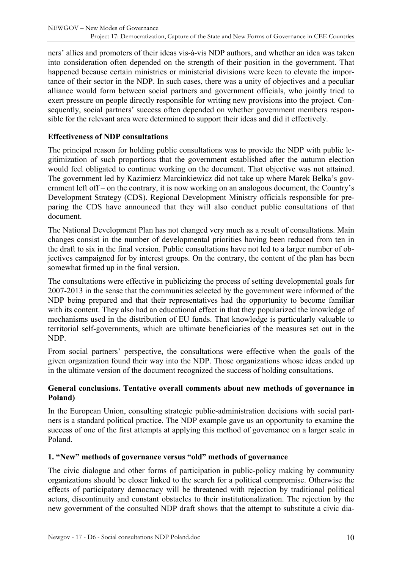ners' allies and promoters of their ideas vis-à-vis NDP authors, and whether an idea was taken into consideration often depended on the strength of their position in the government. That happened because certain ministries or ministerial divisions were keen to elevate the importance of their sector in the NDP. In such cases, there was a unity of objectives and a peculiar alliance would form between social partners and government officials, who jointly tried to exert pressure on people directly responsible for writing new provisions into the project. Consequently, social partners' success often depended on whether government members responsible for the relevant area were determined to support their ideas and did it effectively.

#### **Effectiveness of NDP consultations**

The principal reason for holding public consultations was to provide the NDP with public legitimization of such proportions that the government established after the autumn election would feel obligated to continue working on the document. That objective was not attained. The government led by Kazimierz Marcinkiewicz did not take up where Marek Belka's government left off – on the contrary, it is now working on an analogous document, the Country's Development Strategy (CDS). Regional Development Ministry officials responsible for preparing the CDS have announced that they will also conduct public consultations of that document.

The National Development Plan has not changed very much as a result of consultations. Main changes consist in the number of developmental priorities having been reduced from ten in the draft to six in the final version. Public consultations have not led to a larger number of objectives campaigned for by interest groups. On the contrary, the content of the plan has been somewhat firmed up in the final version.

The consultations were effective in publicizing the process of setting developmental goals for 2007-2013 in the sense that the communities selected by the government were informed of the NDP being prepared and that their representatives had the opportunity to become familiar with its content. They also had an educational effect in that they popularized the knowledge of mechanisms used in the distribution of EU funds. That knowledge is particularly valuable to territorial self-governments, which are ultimate beneficiaries of the measures set out in the NDP.

From social partners' perspective, the consultations were effective when the goals of the given organization found their way into the NDP. Those organizations whose ideas ended up in the ultimate version of the document recognized the success of holding consultations.

#### **General conclusions. Tentative overall comments about new methods of governance in Poland)**

In the European Union, consulting strategic public-administration decisions with social partners is a standard political practice. The NDP example gave us an opportunity to examine the success of one of the first attempts at applying this method of governance on a larger scale in Poland.

#### **1. "New" methods of governance versus "old" methods of governance**

The civic dialogue and other forms of participation in public-policy making by community organizations should be closer linked to the search for a political compromise. Otherwise the effects of participatory democracy will be threatened with rejection by traditional political actors, discontinuity and constant obstacles to their institutionalization. The rejection by the new government of the consulted NDP draft shows that the attempt to substitute a civic dia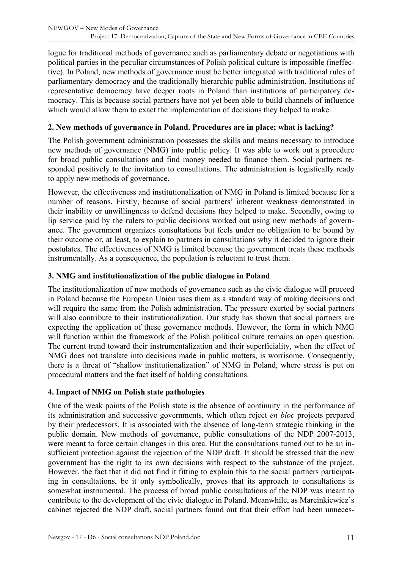logue for traditional methods of governance such as parliamentary debate or negotiations with political parties in the peculiar circumstances of Polish political culture is impossible (ineffective). In Poland, new methods of governance must be better integrated with traditional rules of parliamentary democracy and the traditionally hierarchic public administration. Institutions of representative democracy have deeper roots in Poland than institutions of participatory democracy. This is because social partners have not yet been able to build channels of influence which would allow them to exact the implementation of decisions they helped to make.

#### **2. New methods of governance in Poland. Procedures are in place; what is lacking?**

The Polish government administration possesses the skills and means necessary to introduce new methods of governance (NMG) into public policy. It was able to work out a procedure for broad public consultations and find money needed to finance them. Social partners responded positively to the invitation to consultations. The administration is logistically ready to apply new methods of governance.

However, the effectiveness and institutionalization of NMG in Poland is limited because for a number of reasons. Firstly, because of social partners' inherent weakness demonstrated in their inability or unwillingness to defend decisions they helped to make. Secondly, owing to lip service paid by the rulers to public decisions worked out using new methods of governance. The government organizes consultations but feels under no obligation to be bound by their outcome or, at least, to explain to partners in consultations why it decided to ignore their postulates. The effectiveness of NMG is limited because the government treats these methods instrumentally. As a consequence, the population is reluctant to trust them.

### **3. NMG and institutionalization of the public dialogue in Poland**

The institutionalization of new methods of governance such as the civic dialogue will proceed in Poland because the European Union uses them as a standard way of making decisions and will require the same from the Polish administration. The pressure exerted by social partners will also contribute to their institutionalization. Our study has shown that social partners are expecting the application of these governance methods. However, the form in which NMG will function within the framework of the Polish political culture remains an open question. The current trend toward their instrumentalization and their superficiality, when the effect of NMG does not translate into decisions made in public matters, is worrisome. Consequently, there is a threat of "shallow institutionalization" of NMG in Poland, where stress is put on procedural matters and the fact itself of holding consultations.

#### **4. Impact of NMG on Polish state pathologies**

One of the weak points of the Polish state is the absence of continuity in the performance of its administration and successive governments, which often reject *en bloc* projects prepared by their predecessors. It is associated with the absence of long-term strategic thinking in the public domain. New methods of governance, public consultations of the NDP 2007-2013, were meant to force certain changes in this area. But the consultations turned out to be an insufficient protection against the rejection of the NDP draft. It should be stressed that the new government has the right to its own decisions with respect to the substance of the project. However, the fact that it did not find it fitting to explain this to the social partners participating in consultations, be it only symbolically, proves that its approach to consultations is somewhat instrumental. The process of broad public consultations of the NDP was meant to contribute to the development of the civic dialogue in Poland. Meanwhile, as Marcinkiewicz's cabinet rejected the NDP draft, social partners found out that their effort had been unneces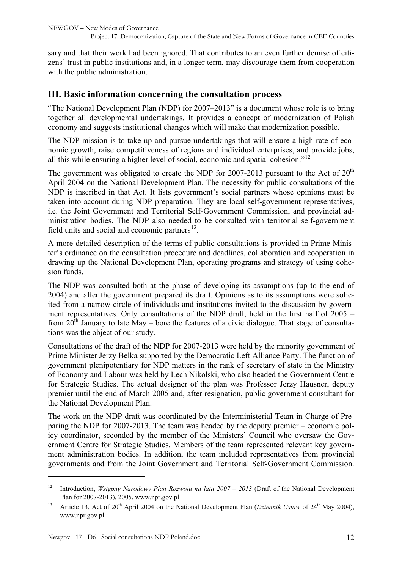<span id="page-11-0"></span>sary and that their work had been ignored. That contributes to an even further demise of citizens' trust in public institutions and, in a longer term, may discourage them from cooperation with the public administration.

### **III. Basic information concerning the consultation process**

"The National Development Plan (NDP) for 2007–2013" is a document whose role is to bring together all developmental undertakings. It provides a concept of modernization of Polish economy and suggests institutional changes which will make that modernization possible.

The NDP mission is to take up and pursue undertakings that will ensure a high rate of economic growth, raise competitiveness of regions and individual enterprises, and provide jobs, all this while ensuring a higher level of social, economic and spatial cohesion."[12](#page-11-1)

The government was obligated to create the NDP for 2007-2013 pursuant to the Act of  $20<sup>th</sup>$ April 2004 on the National Development Plan. The necessity for public consultations of the NDP is inscribed in that Act. It lists government's social partners whose opinions must be taken into account during NDP preparation. They are local self-government representatives, i.e. the Joint Government and Territorial Self-Government Commission, and provincial administration bodies. The NDP also needed to be consulted with territorial self-government field units and social and economic partners $^{13}$  $^{13}$  $^{13}$ .

A more detailed description of the terms of public consultations is provided in Prime Minister's ordinance on the consultation procedure and deadlines, collaboration and cooperation in drawing up the National Development Plan, operating programs and strategy of using cohesion funds.

The NDP was consulted both at the phase of developing its assumptions (up to the end of 2004) and after the government prepared its draft. Opinions as to its assumptions were solicited from a narrow circle of individuals and institutions invited to the discussion by government representatives. Only consultations of the NDP draft, held in the first half of 2005 – from  $20^{th}$  January to late May – bore the features of a civic dialogue. That stage of consultations was the object of our study.

Consultations of the draft of the NDP for 2007-2013 were held by the minority government of Prime Minister Jerzy Belka supported by the Democratic Left Alliance Party. The function of government plenipotentiary for NDP matters in the rank of secretary of state in the Ministry of Economy and Labour was held by Lech Nikolski, who also headed the Government Centre for Strategic Studies. The actual designer of the plan was Professor Jerzy Hausner, deputy premier until the end of March 2005 and, after resignation, public government consultant for the National Development Plan.

The work on the NDP draft was coordinated by the Interministerial Team in Charge of Preparing the NDP for 2007-2013. The team was headed by the deputy premier – economic policy coordinator, seconded by the member of the Ministers' Council who oversaw the Government Centre for Strategic Studies. Members of the team represented relevant key government administration bodies. In addition, the team included representatives from provincial governments and from the Joint Government and Territorial Self-Government Commission.

<span id="page-11-1"></span><sup>&</sup>lt;sup>12</sup> Introduction, *Wstepny Narodowy Plan Rozwoju na lata 2007 – 2013* (Draft of the National Development Plan for 2007-2013), 2005, www.npr.gov.pl

<span id="page-11-2"></span><sup>&</sup>lt;sup>13</sup> Article 13, Act of 20<sup>th</sup> April 2004 on the National Development Plan (*Dziennik Ustaw* of 24<sup>th</sup> May 2004), www.npr.gov.pl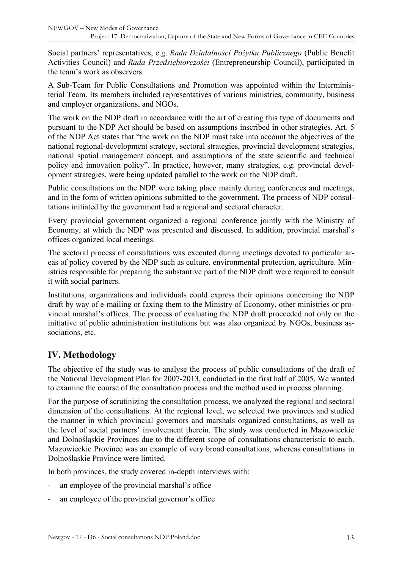<span id="page-12-0"></span>Social partners' representatives, e.g. *Rada Działalności Pożytku Publicznego* (Public Benefit Activities Council) and *Rada Przedsiębiorczości* (Entrepreneurship Council), participated in the team's work as observers.

A Sub-Team for Public Consultations and Promotion was appointed within the Interministerial Team. Its members included representatives of various ministries, community, business and employer organizations, and NGOs.

The work on the NDP draft in accordance with the art of creating this type of documents and pursuant to the NDP Act should be based on assumptions inscribed in other strategies. Art. 5 of the NDP Act states that "the work on the NDP must take into account the objectives of the national regional-development strategy, sectoral strategies, provincial development strategies, national spatial management concept, and assumptions of the state scientific and technical policy and innovation policy". In practice, however, many strategies, e.g. provincial development strategies, were being updated parallel to the work on the NDP draft.

Public consultations on the NDP were taking place mainly during conferences and meetings, and in the form of written opinions submitted to the government. The process of NDP consultations initiated by the government had a regional and sectoral character.

Every provincial government organized a regional conference jointly with the Ministry of Economy, at which the NDP was presented and discussed. In addition, provincial marshal's offices organized local meetings.

The sectoral process of consultations was executed during meetings devoted to particular areas of policy covered by the NDP such as culture, environmental protection, agriculture. Ministries responsible for preparing the substantive part of the NDP draft were required to consult it with social partners.

Institutions, organizations and individuals could express their opinions concerning the NDP draft by way of e-mailing or faxing them to the Ministry of Economy, other ministries or provincial marshal's offices. The process of evaluating the NDP draft proceeded not only on the initiative of public administration institutions but was also organized by NGOs, business associations, etc.

# **IV. Methodology**

The objective of the study was to analyse the process of public consultations of the draft of the National Development Plan for 2007-2013, conducted in the first half of 2005. We wanted to examine the course of the consultation process and the method used in process planning.

For the purpose of scrutinizing the consultation process, we analyzed the regional and sectoral dimension of the consultations. At the regional level, we selected two provinces and studied the manner in which provincial governors and marshals organized consultations, as well as the level of social partners' involvement therein. The study was conducted in Mazowieckie and Dolnośląskie Provinces due to the different scope of consultations characteristic to each. Mazowieckie Province was an example of very broad consultations, whereas consultations in Dolnośląskie Province were limited.

In both provinces, the study covered in-depth interviews with:

- an employee of the provincial marshal's office
- an employee of the provincial governor's office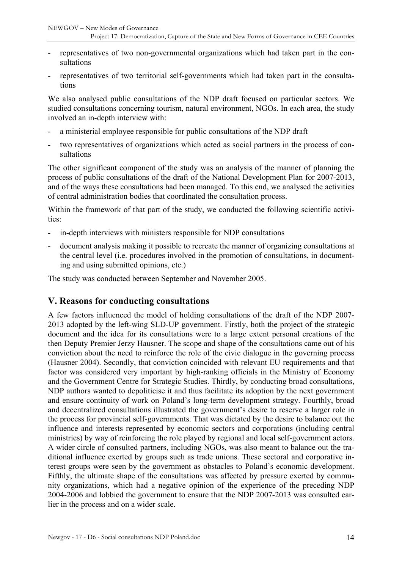- <span id="page-13-0"></span>representatives of two non-governmental organizations which had taken part in the consultations
- representatives of two territorial self-governments which had taken part in the consultations

We also analysed public consultations of the NDP draft focused on particular sectors. We studied consultations concerning tourism, natural environment, NGOs. In each area, the study involved an in-depth interview with:

- a ministerial employee responsible for public consultations of the NDP draft
- two representatives of organizations which acted as social partners in the process of consultations

The other significant component of the study was an analysis of the manner of planning the process of public consultations of the draft of the National Development Plan for 2007-2013, and of the ways these consultations had been managed. To this end, we analysed the activities of central administration bodies that coordinated the consultation process.

Within the framework of that part of the study, we conducted the following scientific activities:

- in-depth interviews with ministers responsible for NDP consultations
- document analysis making it possible to recreate the manner of organizing consultations at the central level (i.e. procedures involved in the promotion of consultations, in documenting and using submitted opinions, etc.)

The study was conducted between September and November 2005.

### **V. Reasons for conducting consultations**

A few factors influenced the model of holding consultations of the draft of the NDP 2007- 2013 adopted by the left-wing SLD-UP government. Firstly, both the project of the strategic document and the idea for its consultations were to a large extent personal creations of the then Deputy Premier Jerzy Hausner. The scope and shape of the consultations came out of his conviction about the need to reinforce the role of the civic dialogue in the governing process (Hausner 2004). Secondly, that conviction coincided with relevant EU requirements and that factor was considered very important by high-ranking officials in the Ministry of Economy and the Government Centre for Strategic Studies. Thirdly, by conducting broad consultations, NDP authors wanted to depoliticise it and thus facilitate its adoption by the next government and ensure continuity of work on Poland's long-term development strategy. Fourthly, broad and decentralized consultations illustrated the government's desire to reserve a larger role in the process for provincial self-governments. That was dictated by the desire to balance out the influence and interests represented by economic sectors and corporations (including central ministries) by way of reinforcing the role played by regional and local self-government actors. A wider circle of consulted partners, including NGOs, was also meant to balance out the traditional influence exerted by groups such as trade unions. These sectoral and corporative interest groups were seen by the government as obstacles to Poland's economic development. Fifthly, the ultimate shape of the consultations was affected by pressure exerted by community organizations, which had a negative opinion of the experience of the preceding NDP 2004-2006 and lobbied the government to ensure that the NDP 2007-2013 was consulted earlier in the process and on a wider scale.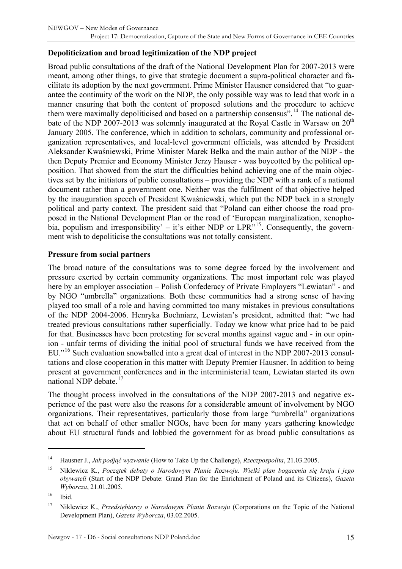#### **Depoliticization and broad legitimization of the NDP project**

Broad public consultations of the draft of the National Development Plan for 2007-2013 were meant, among other things, to give that strategic document a supra-political character and facilitate its adoption by the next government. Prime Minister Hausner considered that "to guarantee the continuity of the work on the NDP, the only possible way was to lead that work in a manner ensuring that both the content of proposed solutions and the procedure to achieve them were maximally depoliticised and based on a partnership consensus".<sup>[14](#page-14-0)</sup> The national debate of the NDP 2007-2013 was solemnly inaugurated at the Royal Castle in Warsaw on  $20<sup>th</sup>$ January 2005. The conference, which in addition to scholars, community and professional organization representatives, and local-level government officials, was attended by President Aleksander Kwaśniewski, Prime Minister Marek Belka and the main author of the NDP - the then Deputy Premier and Economy Minister Jerzy Hauser - was boycotted by the political opposition. That showed from the start the difficulties behind achieving one of the main objectives set by the initiators of public consultations – providing the NDP with a rank of a national document rather than a government one. Neither was the fulfilment of that objective helped by the inauguration speech of President Kwaśniewski, which put the NDP back in a strongly political and party context. The president said that "Poland can either choose the road proposed in the National Development Plan or the road of 'European marginalization, xenophobia, populism and irresponsibility' – it's either NDP or  $\text{LPR}^{3,15}$  $\text{LPR}^{3,15}$  $\text{LPR}^{3,15}$ . Consequently, the government wish to depoliticise the consultations was not totally consistent.

#### **Pressure from social partners**

The broad nature of the consultations was to some degree forced by the involvement and pressure exerted by certain community organizations. The most important role was played here by an employer association – Polish Confederacy of Private Employers "Lewiatan" - and by NGO "umbrella" organizations. Both these communities had a strong sense of having played too small of a role and having committed too many mistakes in previous consultations of the NDP 2004-2006. Henryka Bochniarz, Lewiatan's president, admitted that: "we had treated previous consultations rather superficially. Today we know what price had to be paid for that. Businesses have been protesting for several months against vague and - in our opinion - unfair terms of dividing the initial pool of structural funds we have received from the EU."<sup>[16](#page-14-2)</sup> Such evaluation snowballed into a great deal of interest in the NDP 2007-2013 consultations and close cooperation in this matter with Deputy Premier Hausner. In addition to being present at government conferences and in the interministerial team, Lewiatan started its own national NDP debate.<sup>[17](#page-14-3)</sup>

The thought process involved in the consultations of the NDP 2007-2013 and negative experience of the past were also the reasons for a considerable amount of involvement by NGO organizations. Their representatives, particularly those from large "umbrella" organizations that act on behalf of other smaller NGOs, have been for many years gathering knowledge about EU structural funds and lobbied the government for as broad public consultations as

<span id="page-14-0"></span><sup>14</sup> Hausner J., *Jak podjąć wyzwanie* (How to Take Up the Challenge), *Rzeczpospolita*, 21.03.2005.

<span id="page-14-1"></span><sup>15</sup> Niklewicz K., *Początek debaty o Narodowym Planie Rozwoju. Wielki plan bogacenia się kraju i jego obywateli* (Start of the NDP Debate: Grand Plan for the Enrichment of Poland and its Citizens), *Gazeta Wyborcza*, 21.01.2005.

<span id="page-14-2"></span> $16$  Ibid.

<span id="page-14-3"></span><sup>17</sup> Niklewicz K., *Przedsiębiorcy o Narodowym Planie Rozwoju* (Corporations on the Topic of the National Development Plan), *Gazeta Wyborcza*, 03.02.2005.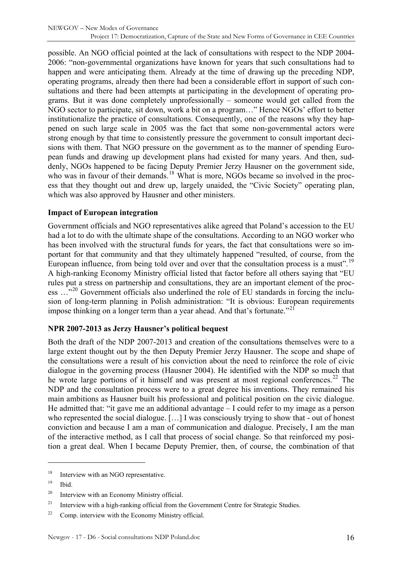possible. An NGO official pointed at the lack of consultations with respect to the NDP 2004- 2006: "non-governmental organizations have known for years that such consultations had to happen and were anticipating them. Already at the time of drawing up the preceding NDP, operating programs, already then there had been a considerable effort in support of such consultations and there had been attempts at participating in the development of operating programs. But it was done completely unprofessionally – someone would get called from the NGO sector to participate, sit down, work a bit on a program…" Hence NGOs' effort to better institutionalize the practice of consultations. Consequently, one of the reasons why they happened on such large scale in 2005 was the fact that some non-governmental actors were strong enough by that time to consistently pressure the government to consult important decisions with them. That NGO pressure on the government as to the manner of spending European funds and drawing up development plans had existed for many years. And then, suddenly, NGOs happened to be facing Deputy Premier Jerzy Hausner on the government side, who was in favour of their demands.<sup>[18](#page-15-0)</sup> What is more, NGOs became so involved in the process that they thought out and drew up, largely unaided, the "Civic Society" operating plan, which was also approved by Hausner and other ministers.

#### **Impact of European integration**

Government officials and NGO representatives alike agreed that Poland's accession to the EU had a lot to do with the ultimate shape of the consultations. According to an NGO worker who has been involved with the structural funds for years, the fact that consultations were so important for that community and that they ultimately happened "resulted, of course, from the European influence, from being told over and over that the consultation process is a must".<sup>[19](#page-15-1)</sup> A high-ranking Economy Ministry official listed that factor before all others saying that "EU rules put a stress on partnership and consultations, they are an important element of the proc-ess ..."<sup>[20](#page-15-2)</sup> Government officials also underlined the role of EU standards in forcing the inclusion of long-term planning in Polish administration: "It is obvious: European requirements impose thinking on a longer term than a year ahead. And that's fortunate.<sup>"[21](#page-15-3)</sup>

#### **NPR 2007-2013 as Jerzy Hausner's political bequest**

Both the draft of the NDP 2007-2013 and creation of the consultations themselves were to a large extent thought out by the then Deputy Premier Jerzy Hausner. The scope and shape of the consultations were a result of his conviction about the need to reinforce the role of civic dialogue in the governing process (Hausner 2004). He identified with the NDP so much that he wrote large portions of it himself and was present at most regional conferences.<sup>[22](#page-15-4)</sup> The NDP and the consultation process were to a great degree his inventions. They remained his main ambitions as Hausner built his professional and political position on the civic dialogue. He admitted that: "it gave me an additional advantage – I could refer to my image as a person who represented the social dialogue. […] I was consciously trying to show that - out of honest conviction and because I am a man of communication and dialogue. Precisely, I am the man of the interactive method, as I call that process of social change. So that reinforced my position a great deal. When I became Deputy Premier, then, of course, the combination of that

<span id="page-15-0"></span><sup>&</sup>lt;sup>18</sup> Interview with an NGO representative.

<span id="page-15-1"></span> $19$  Ibid.

<span id="page-15-2"></span><sup>20</sup> Interview with an Economy Ministry official.

<span id="page-15-3"></span><sup>&</sup>lt;sup>21</sup> Interview with a high-ranking official from the Government Centre for Strategic Studies.

<span id="page-15-4"></span> $22$  Comp. interview with the Economy Ministry official.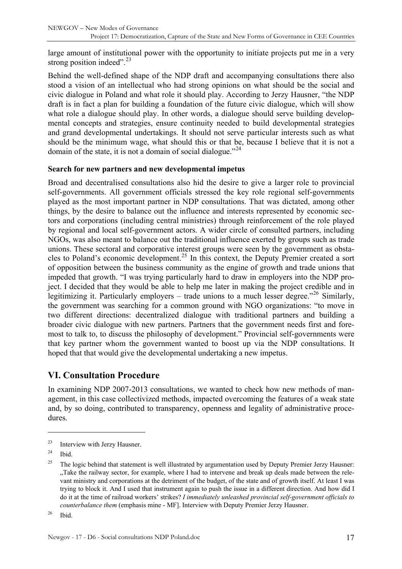<span id="page-16-0"></span>large amount of institutional power with the opportunity to initiate projects put me in a very strong position indeed". $^{23}$  $^{23}$  $^{23}$ 

Behind the well-defined shape of the NDP draft and accompanying consultations there also stood a vision of an intellectual who had strong opinions on what should be the social and civic dialogue in Poland and what role it should play. According to Jerzy Hausner, "the NDP draft is in fact a plan for building a foundation of the future civic dialogue, which will show what role a dialogue should play. In other words, a dialogue should serve building developmental concepts and strategies, ensure continuity needed to build developmental strategies and grand developmental undertakings. It should not serve particular interests such as what should be the minimum wage, what should this or that be, because I believe that it is not a domain of the state, it is not a domain of social dialogue."<sup>[24](#page-16-2)</sup>

#### **Search for new partners and new developmental impetus**

Broad and decentralised consultations also hid the desire to give a larger role to provincial self-governments. All government officials stressed the key role regional self-governments played as the most important partner in NDP consultations. That was dictated, among other things, by the desire to balance out the influence and interests represented by economic sectors and corporations (including central ministries) through reinforcement of the role played by regional and local self-government actors. A wider circle of consulted partners, including NGOs, was also meant to balance out the traditional influence exerted by groups such as trade unions. These sectoral and corporative interest groups were seen by the government as obsta-cles to Poland's economic development.<sup>[25](#page-16-3)</sup> In this context, the Deputy Premier created a sort of opposition between the business community as the engine of growth and trade unions that impeded that growth. "I was trying particularly hard to draw in employers into the NDP project. I decided that they would be able to help me later in making the project credible and in legitimizing it. Particularly employers – trade unions to a much lesser degree."<sup>[26](#page-16-4)</sup> Similarly, the government was searching for a common ground with NGO organizations: "to move in two different directions: decentralized dialogue with traditional partners and building a broader civic dialogue with new partners. Partners that the government needs first and foremost to talk to, to discuss the philosophy of development." Provincial self-governments were that key partner whom the government wanted to boost up via the NDP consultations. It hoped that that would give the developmental undertaking a new impetus.

### **VI. Consultation Procedure**

In examining NDP 2007-2013 consultations, we wanted to check how new methods of management, in this case collectivized methods, impacted overcoming the features of a weak state and, by so doing, contributed to transparency, openness and legality of administrative procedures.

 $\overline{a}$ 

<span id="page-16-4"></span> $26$  Ibid.

<span id="page-16-1"></span><sup>23</sup> Interview with Jerzy Hausner.

<span id="page-16-2"></span> $24$  Ibid.

<span id="page-16-3"></span><sup>&</sup>lt;sup>25</sup> The logic behind that statement is well illustrated by argumentation used by Deputy Premier Jerzy Hausner: . Take the railway sector, for example, where I had to intervene and break up deals made between the relevant ministry and corporations at the detriment of the budget, of the state and of growth itself. At least I was trying to block it. And I used that instrument again to push the issue in a different direction. And how did I do it at the time of railroad workers' strikes? *I immediately unleashed provincial self-government officials to counterbalance them* (emphasis mine - MF]. Interview with Deputy Premier Jerzy Hausner.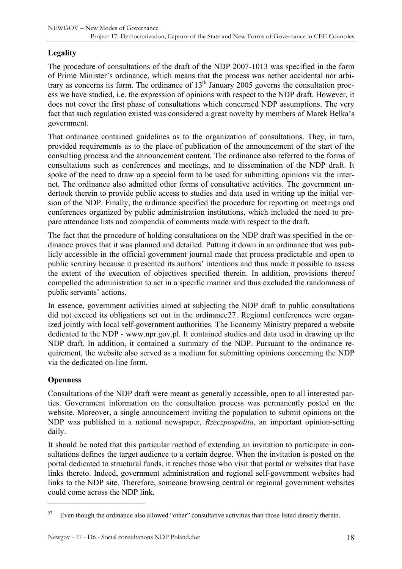### **Legality**

The procedure of consultations of the draft of the NDP 2007-1013 was specified in the form of Prime Minister's ordinance, which means that the process was nether accidental nor arbitrary as concerns its form. The ordinance of  $13<sup>th</sup>$  January 2005 governs the consultation process we have studied, i.e. the expression of opinions with respect to the NDP draft. However, it does not cover the first phase of consultations which concerned NDP assumptions. The very fact that such regulation existed was considered a great novelty by members of Marek Belka's government*.*

That ordinance contained guidelines as to the organization of consultations. They, in turn, provided requirements as to the place of publication of the announcement of the start of the consulting process and the announcement content. The ordinance also referred to the forms of consultations such as conferences and meetings, and to dissemination of the NDP draft. It spoke of the need to draw up a special form to be used for submitting opinions via the internet. The ordinance also admitted other forms of consultative activities. The government undertook therein to provide public access to studies and data used in writing up the initial version of the NDP. Finally, the ordinance specified the procedure for reporting on meetings and conferences organized by public administration institutions, which included the need to prepare attendance lists and compendia of comments made with respect to the draft.

The fact that the procedure of holding consultations on the NDP draft was specified in the ordinance proves that it was planned and detailed. Putting it down in an ordinance that was publicly accessible in the official government journal made that process predictable and open to public scrutiny because it presented its authors' intentions and thus made it possible to assess the extent of the execution of objectives specified therein. In addition, provisions thereof compelled the administration to act in a specific manner and thus excluded the randomness of public servants' actions.

In essence, government activities aimed at subjecting the NDP draft to public consultations did not exceed its obligations set out in the ordinance[27](#page-17-0). Regional conferences were organized jointly with local self-government authorities. The Economy Ministry prepared a website dedicated to the NDP - www.npr.gov.pl. It contained studies and data used in drawing up the NDP draft. In addition, it contained a summary of the NDP. Pursuant to the ordinance requirement, the website also served as a medium for submitting opinions concerning the NDP via the dedicated on-line form.

#### **Openness**

 $\overline{a}$ 

Consultations of the NDP draft were meant as generally accessible, open to all interested parties. Government information on the consultation process was permanently posted on the website. Moreover, a single announcement inviting the population to submit opinions on the NDP was published in a national newspaper, *Rzeczpospolita*, an important opinion-setting daily.

It should be noted that this particular method of extending an invitation to participate in consultations defines the target audience to a certain degree. When the invitation is posted on the portal dedicated to structural funds, it reaches those who visit that portal or websites that have links thereto. Indeed, government administration and regional self-government websites had links to the NDP site. Therefore, someone browsing central or regional government websites could come across the NDP link.

<span id="page-17-0"></span><sup>&</sup>lt;sup>27</sup> Even though the ordinance also allowed "other" consultative activities than those listed directly therein.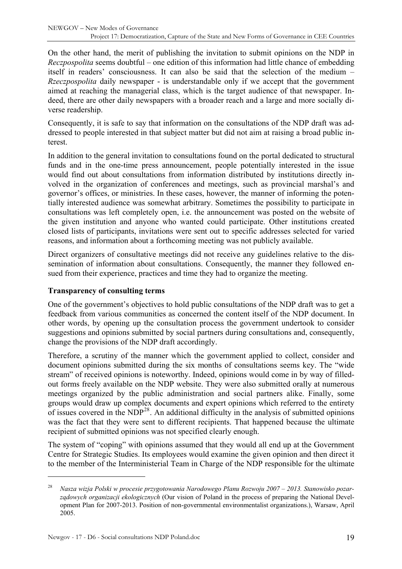On the other hand, the merit of publishing the invitation to submit opinions on the NDP in *Reczpospolita* seems doubtful – one edition of this information had little chance of embedding itself in readers' consciousness. It can also be said that the selection of the medium – *Rzeczpospolita* daily newspaper - is understandable only if we accept that the government aimed at reaching the managerial class, which is the target audience of that newspaper. Indeed, there are other daily newspapers with a broader reach and a large and more socially diverse readership.

Consequently, it is safe to say that information on the consultations of the NDP draft was addressed to people interested in that subject matter but did not aim at raising a broad public interest.

In addition to the general invitation to consultations found on the portal dedicated to structural funds and in the one-time press announcement, people potentially interested in the issue would find out about consultations from information distributed by institutions directly involved in the organization of conferences and meetings, such as provincial marshal's and governor's offices, or ministries. In these cases, however, the manner of informing the potentially interested audience was somewhat arbitrary. Sometimes the possibility to participate in consultations was left completely open, i.e. the announcement was posted on the website of the given institution and anyone who wanted could participate. Other institutions created closed lists of participants, invitations were sent out to specific addresses selected for varied reasons, and information about a forthcoming meeting was not publicly available.

Direct organizers of consultative meetings did not receive any guidelines relative to the dissemination of information about consultations. Consequently, the manner they followed ensued from their experience, practices and time they had to organize the meeting.

#### **Transparency of consulting terms**

One of the government's objectives to hold public consultations of the NDP draft was to get a feedback from various communities as concerned the content itself of the NDP document. In other words, by opening up the consultation process the government undertook to consider suggestions and opinions submitted by social partners during consultations and, consequently, change the provisions of the NDP draft accordingly.

Therefore, a scrutiny of the manner which the government applied to collect, consider and document opinions submitted during the six months of consultations seems key. The "wide stream" of received opinions is noteworthy. Indeed, opinions would come in by way of filledout forms freely available on the NDP website. They were also submitted orally at numerous meetings organized by the public administration and social partners alike. Finally, some groups would draw up complex documents and expert opinions which referred to the entirety of issues covered in the  $NDP^{28}$  $NDP^{28}$  $NDP^{28}$ . An additional difficulty in the analysis of submitted opinions was the fact that they were sent to different recipients. That happened because the ultimate recipient of submitted opinions was not specified clearly enough.

The system of "coping" with opinions assumed that they would all end up at the Government Centre for Strategic Studies. Its employees would examine the given opinion and then direct it to the member of the Interministerial Team in Charge of the NDP responsible for the ultimate

<span id="page-18-0"></span><sup>28</sup> *Nasza wizja Polski w procesie przygotowania Narodowego Planu Rozwoju 2007 – 2013. Stanowisko pozarządowych organizacji ekologicznych* (Our vision of Poland in the process of preparing the National Development Plan for 2007-2013. Position of non-governmental environmentalist organizations.), Warsaw, April 2005.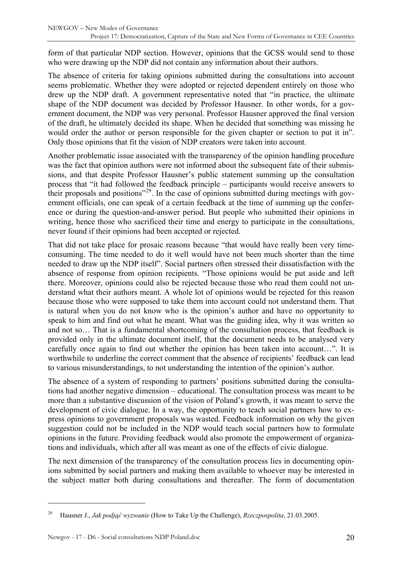form of that particular NDP section. However, opinions that the GCSS would send to those who were drawing up the NDP did not contain any information about their authors.

The absence of criteria for taking opinions submitted during the consultations into account seems problematic. Whether they were adopted or rejected dependent entirely on those who drew up the NDP draft. A government representative noted that "in practice, the ultimate shape of the NDP document was decided by Professor Hausner. In other words, for a government document, the NDP was very personal. Professor Hausner approved the final version of the draft, he ultimately decided its shape. When he decided that something was missing he would order the author or person responsible for the given chapter or section to put it in". Only those opinions that fit the vision of NDP creators were taken into account.

Another problematic issue associated with the transparency of the opinion handling procedure was the fact that opinion authors were not informed about the subsequent fate of their submissions, and that despite Professor Hausner's public statement summing up the consultation process that "it had followed the feedback principle – participants would receive answers to their proposals and positions"[29](#page-19-0). In the case of opinions submitted during meetings with government officials, one can speak of a certain feedback at the time of summing up the conference or during the question-and-answer period. But people who submitted their opinions in writing, hence those who sacrificed their time and energy to participate in the consultations, never found if their opinions had been accepted or rejected.

That did not take place for prosaic reasons because "that would have really been very timeconsuming. The time needed to do it well would have not been much shorter than the time needed to draw up the NDP itself". Social partners often stressed their dissatisfaction with the absence of response from opinion recipients. "Those opinions would be put aside and left there. Moreover, opinions could also be rejected because those who read them could not understand what their authors meant. A whole lot of opinions would be rejected for this reason because those who were supposed to take them into account could not understand them. That is natural when you do not know who is the opinion's author and have no opportunity to speak to him and find out what he meant. What was the guiding idea, why it was written so and not so… That is a fundamental shortcoming of the consultation process, that feedback is provided only in the ultimate document itself, that the document needs to be analysed very carefully once again to find out whether the opinion has been taken into account…". It is worthwhile to underline the correct comment that the absence of recipients' feedback can lead to various misunderstandings, to not understanding the intention of the opinion's author.

The absence of a system of responding to partners' positions submitted during the consultations had another negative dimension – educational. The consultation process was meant to be more than a substantive discussion of the vision of Poland's growth, it was meant to serve the development of civic dialogue. In a way, the opportunity to teach social partners how to express opinions to government proposals was wasted. Feedback information on why the given suggestion could not be included in the NDP would teach social partners how to formulate opinions in the future. Providing feedback would also promote the empowerment of organizations and individuals, which after all was meant as one of the effects of civic dialogue.

The next dimension of the transparency of the consultation process lies in documenting opinions submitted by social partners and making them available to whoever may be interested in the subject matter both during consultations and thereafter. The form of documentation

<span id="page-19-0"></span><sup>29</sup> Hausner J., *Jak podjąć wyzwanie* (How to Take Up the Challenge), *Rzeczpospolita*, 21.03.2005.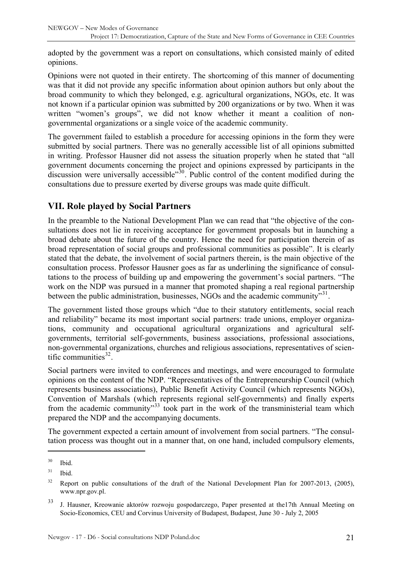<span id="page-20-0"></span>adopted by the government was a report on consultations, which consisted mainly of edited opinions.

Opinions were not quoted in their entirety. The shortcoming of this manner of documenting was that it did not provide any specific information about opinion authors but only about the broad community to which they belonged, e.g. agricultural organizations, NGOs, etc. It was not known if a particular opinion was submitted by 200 organizations or by two. When it was written "women's groups", we did not know whether it meant a coalition of nongovernmental organizations or a single voice of the academic community.

The government failed to establish a procedure for accessing opinions in the form they were submitted by social partners. There was no generally accessible list of all opinions submitted in writing. Professor Hausner did not assess the situation properly when he stated that "all government documents concerning the project and opinions expressed by participants in the discussion were universally accessible"<sup>[30](#page-20-1)</sup>. Public control of the content modified during the consultations due to pressure exerted by diverse groups was made quite difficult.

### **VII. Role played by Social Partners**

In the preamble to the National Development Plan we can read that "the objective of the consultations does not lie in receiving acceptance for government proposals but in launching a broad debate about the future of the country. Hence the need for participation therein of as broad representation of social groups and professional communities as possible". It is clearly stated that the debate, the involvement of social partners therein, is the main objective of the consultation process. Professor Hausner goes as far as underlining the significance of consultations to the process of building up and empowering the government's social partners. "The work on the NDP was pursued in a manner that promoted shaping a real regional partnership between the public administration, businesses, NGOs and the academic community<sup>[31](#page-20-2)</sup>.

The government listed those groups which "due to their statutory entitlements, social reach and reliability" became its most important social partners: trade unions, employer organizations, community and occupational agricultural organizations and agricultural selfgovernments, territorial self-governments, business associations, professional associations, non-governmental organizations, churches and religious associations, representatives of scientific communities $32$ .

Social partners were invited to conferences and meetings, and were encouraged to formulate opinions on the content of the NDP. "Representatives of the Entrepreneurship Council (which represents business associations), Public Benefit Activity Council (which represents NGOs), Convention of Marshals (which represents regional self-governments) and finally experts from the academic community<sup>[33](#page-20-4)</sup> took part in the work of the transministerial team which prepared the NDP and the accompanying documents.

The government expected a certain amount of involvement from social partners. "The consultation process was thought out in a manner that, on one hand, included compulsory elements,

<span id="page-20-1"></span> $30$  Ibid.

<span id="page-20-2"></span> $31$  Ibid.

<span id="page-20-3"></span><sup>&</sup>lt;sup>32</sup> Report on public consultations of the draft of the National Development Plan for 2007-2013, (2005), www.npr.gov.pl.

<span id="page-20-4"></span><sup>33</sup> J. Hausner, Kreowanie aktorów rozwoju gospodarczego, Paper presented at the17th Annual Meeting on Socio-Economics, CEU and Corvinus University of Budapest, Budapest, June 30 - July 2, 2005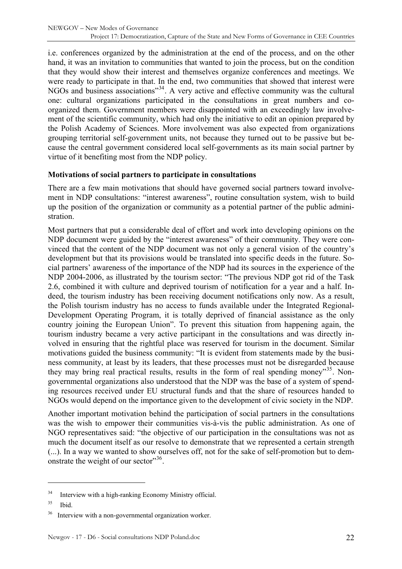i.e. conferences organized by the administration at the end of the process, and on the other hand, it was an invitation to communities that wanted to join the process, but on the condition that they would show their interest and themselves organize conferences and meetings. We were ready to participate in that. In the end, two communities that showed that interest were NGOs and business associations<sup>"[34](#page-21-0)</sup>. A very active and effective community was the cultural one: cultural organizations participated in the consultations in great numbers and coorganized them. Government members were disappointed with an exceedingly law involvement of the scientific community, which had only the initiative to edit an opinion prepared by the Polish Academy of Sciences. More involvement was also expected from organizations grouping territorial self-government units, not because they turned out to be passive but because the central government considered local self-governments as its main social partner by virtue of it benefiting most from the NDP policy.

#### **Motivations of social partners to participate in consultations**

There are a few main motivations that should have governed social partners toward involvement in NDP consultations: "interest awareness", routine consultation system, wish to build up the position of the organization or community as a potential partner of the public administration.

Most partners that put a considerable deal of effort and work into developing opinions on the NDP document were guided by the "interest awareness" of their community. They were convinced that the content of the NDP document was not only a general vision of the country's development but that its provisions would be translated into specific deeds in the future. Social partners' awareness of the importance of the NDP had its sources in the experience of the NDP 2004-2006, as illustrated by the tourism sector: "The previous NDP got rid of the Task 2.6, combined it with culture and deprived tourism of notification for a year and a half. Indeed, the tourism industry has been receiving document notifications only now. As a result, the Polish tourism industry has no access to funds available under the Integrated Regional-Development Operating Program, it is totally deprived of financial assistance as the only country joining the European Union". To prevent this situation from happening again, the tourism industry became a very active participant in the consultations and was directly involved in ensuring that the rightful place was reserved for tourism in the document. Similar motivations guided the business community: "It is evident from statements made by the business community, at least by its leaders, that these processes must not be disregarded because they may bring real practical results, results in the form of real spending money<sup>[35](#page-21-1)</sup>. Nongovernmental organizations also understood that the NDP was the base of a system of spending resources received under EU structural funds and that the share of resources handed to NGOs would depend on the importance given to the development of civic society in the NDP.

Another important motivation behind the participation of social partners in the consultations was the wish to empower their communities vis-à-vis the public administration. As one of NGO representatives said: "the objective of our participation in the consultations was not as much the document itself as our resolve to demonstrate that we represented a certain strength (...). In a way we wanted to show ourselves off, not for the sake of self-promotion but to dem-onstrate the weight of our sector"<sup>[36](#page-21-2)</sup>.

<span id="page-21-0"></span><sup>&</sup>lt;sup>34</sup> Interview with a high-ranking Economy Ministry official.

<span id="page-21-1"></span> $35$  Ibid.

<span id="page-21-2"></span>Interview with a non-governmental organization worker.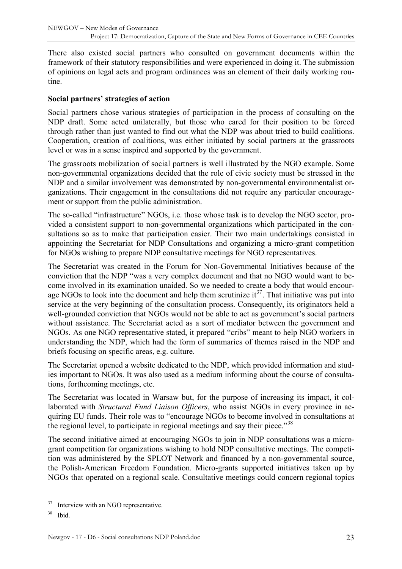There also existed social partners who consulted on government documents within the framework of their statutory responsibilities and were experienced in doing it. The submission of opinions on legal acts and program ordinances was an element of their daily working routine.

#### **Social partners' strategies of action**

Social partners chose various strategies of participation in the process of consulting on the NDP draft. Some acted unilaterally, but those who cared for their position to be forced through rather than just wanted to find out what the NDP was about tried to build coalitions. Cooperation, creation of coalitions, was either initiated by social partners at the grassroots level or was in a sense inspired and supported by the government.

The grassroots mobilization of social partners is well illustrated by the NGO example. Some non-governmental organizations decided that the role of civic society must be stressed in the NDP and a similar involvement was demonstrated by non-governmental environmentalist organizations. Their engagement in the consultations did not require any particular encouragement or support from the public administration.

The so-called "infrastructure" NGOs, i.e. those whose task is to develop the NGO sector, provided a consistent support to non-governmental organizations which participated in the consultations so as to make that participation easier. Their two main undertakings consisted in appointing the Secretariat for NDP Consultations and organizing a micro-grant competition for NGOs wishing to prepare NDP consultative meetings for NGO representatives.

The Secretariat was created in the Forum for Non-Governmental Initiatives because of the conviction that the NDP "was a very complex document and that no NGO would want to become involved in its examination unaided. So we needed to create a body that would encourage NGOs to look into the document and help them scrutinize  $it^{37}$  $it^{37}$  $it^{37}$ . That initiative was put into service at the very beginning of the consultation process. Consequently, its originators held a well-grounded conviction that NGOs would not be able to act as government's social partners without assistance. The Secretariat acted as a sort of mediator between the government and NGOs. As one NGO representative stated, it prepared "cribs" meant to help NGO workers in understanding the NDP, which had the form of summaries of themes raised in the NDP and briefs focusing on specific areas, e.g. culture.

The Secretariat opened a website dedicated to the NDP, which provided information and studies important to NGOs. It was also used as a medium informing about the course of consultations, forthcoming meetings, etc.

The Secretariat was located in Warsaw but, for the purpose of increasing its impact, it collaborated with *Structural Fund Liaison Officers*, who assist NGOs in every province in acquiring EU funds. Their role was to "encourage NGOs to become involved in consultations at the regional level, to participate in regional meetings and say their piece.<sup>[38](#page-22-1)</sup>

The second initiative aimed at encouraging NGOs to join in NDP consultations was a microgrant competition for organizations wishing to hold NDP consultative meetings. The competition was administered by the SPLOT Network and financed by a non-governmental source, the Polish-American Freedom Foundation. Micro-grants supported initiatives taken up by NGOs that operated on a regional scale. Consultative meetings could concern regional topics

<span id="page-22-0"></span><sup>&</sup>lt;sup>37</sup> Interview with an NGO representative.

<span id="page-22-1"></span> $38$  Ibid.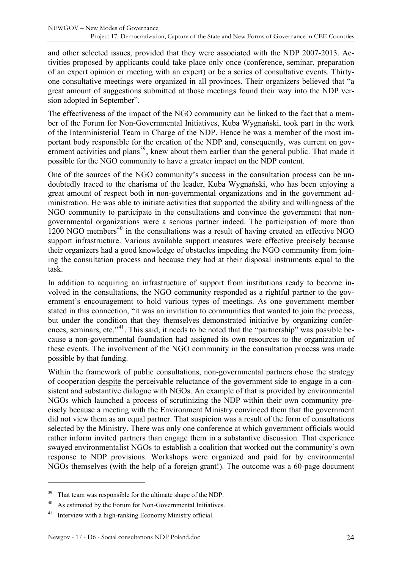and other selected issues, provided that they were associated with the NDP 2007-2013. Activities proposed by applicants could take place only once (conference, seminar, preparation of an expert opinion or meeting with an expert) or be a series of consultative events. Thirtyone consultative meetings were organized in all provinces. Their organizers believed that "a great amount of suggestions submitted at those meetings found their way into the NDP version adopted in September".

The effectiveness of the impact of the NGO community can be linked to the fact that a member of the Forum for Non-Governmental Initiatives, Kuba Wygnański, took part in the work of the Interministerial Team in Charge of the NDP. Hence he was a member of the most important body responsible for the creation of the NDP and, consequently, was current on gov-ernment activities and plans<sup>[39](#page-23-0)</sup>, knew about them earlier than the general public. That made it possible for the NGO community to have a greater impact on the NDP content.

One of the sources of the NGO community's success in the consultation process can be undoubtedly traced to the charisma of the leader, Kuba Wygnański, who has been enjoying a great amount of respect both in non-governmental organizations and in the government administration. He was able to initiate activities that supported the ability and willingness of the NGO community to participate in the consultations and convince the government that nongovernmental organizations were a serious partner indeed. The participation of more than  $1200$  NGO members<sup>[40](#page-23-1)</sup> in the consultations was a result of having created an effective NGO support infrastructure. Various available support measures were effective precisely because their organizers had a good knowledge of obstacles impeding the NGO community from joining the consultation process and because they had at their disposal instruments equal to the task.

In addition to acquiring an infrastructure of support from institutions ready to become involved in the consultations, the NGO community responded as a rightful partner to the government's encouragement to hold various types of meetings. As one government member stated in this connection, "it was an invitation to communities that wanted to join the process, but under the condition that they themselves demonstrated initiative by organizing confer-ences, seminars, etc."<sup>[41](#page-23-2)</sup>. This said, it needs to be noted that the "partnership" was possible because a non-governmental foundation had assigned its own resources to the organization of these events. The involvement of the NGO community in the consultation process was made possible by that funding.

Within the framework of public consultations, non-governmental partners chose the strategy of cooperation despite the perceivable reluctance of the government side to engage in a consistent and substantive dialogue with NGOs. An example of that is provided by environmental NGOs which launched a process of scrutinizing the NDP within their own community precisely because a meeting with the Environment Ministry convinced them that the government did not view them as an equal partner. That suspicion was a result of the form of consultations selected by the Ministry. There was only one conference at which government officials would rather inform invited partners than engage them in a substantive discussion. That experience swayed environmentalist NGOs to establish a coalition that worked out the community's own response to NDP provisions. Workshops were organized and paid for by environmental NGOs themselves (with the help of a foreign grant!). The outcome was a 60-page document

<span id="page-23-0"></span><sup>&</sup>lt;sup>39</sup> That team was responsible for the ultimate shape of the NDP.

<span id="page-23-1"></span><sup>&</sup>lt;sup>40</sup> As estimated by the Forum for Non-Governmental Initiatives.

<span id="page-23-2"></span><sup>41</sup> Interview with a high-ranking Economy Ministry official.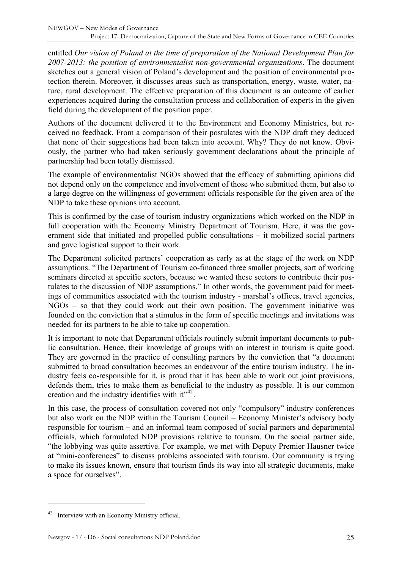entitled *Our vision of Poland at the time of preparation of the National Development Plan for 2007-2013: the position of environmentalist non-governmental organizations*. The document sketches out a general vision of Poland's development and the position of environmental protection therein. Moreover, it discusses areas such as transportation, energy, waste, water, nature, rural development. The effective preparation of this document is an outcome of earlier experiences acquired during the consultation process and collaboration of experts in the given field during the development of the position paper.

Authors of the document delivered it to the Environment and Economy Ministries, but received no feedback. From a comparison of their postulates with the NDP draft they deduced that none of their suggestions had been taken into account. Why? They do not know. Obviously, the partner who had taken seriously government declarations about the principle of partnership had been totally dismissed.

The example of environmentalist NGOs showed that the efficacy of submitting opinions did not depend only on the competence and involvement of those who submitted them, but also to a large degree on the willingness of government officials responsible for the given area of the NDP to take these opinions into account.

This is confirmed by the case of tourism industry organizations which worked on the NDP in full cooperation with the Economy Ministry Department of Tourism. Here, it was the government side that initiated and propelled public consultations – it mobilized social partners and gave logistical support to their work.

The Department solicited partners' cooperation as early as at the stage of the work on NDP assumptions. "The Department of Tourism co-financed three smaller projects, sort of working seminars directed at specific sectors, because we wanted these sectors to contribute their postulates to the discussion of NDP assumptions." In other words, the government paid for meetings of communities associated with the tourism industry - marshal's offices, travel agencies, NGOs – so that they could work out their own position. The government initiative was founded on the conviction that a stimulus in the form of specific meetings and invitations was needed for its partners to be able to take up cooperation.

It is important to note that Department officials routinely submit important documents to public consultation. Hence, their knowledge of groups with an interest in tourism is quite good. They are governed in the practice of consulting partners by the conviction that "a document submitted to broad consultation becomes an endeavour of the entire tourism industry. The industry feels co-responsible for it, is proud that it has been able to work out joint provisions, defends them, tries to make them as beneficial to the industry as possible. It is our common creation and the industry identifies with  $it^{\prime42}$  $it^{\prime42}$  $it^{\prime42}$ .

In this case, the process of consultation covered not only "compulsory" industry conferences but also work on the NDP within the Tourism Council – Economy Minister's advisory body responsible for tourism – and an informal team composed of social partners and departmental officials, which formulated NDP provisions relative to tourism. On the social partner side, "the lobbying was quite assertive. For example, we met with Deputy Premier Hausner twice at "mini-conferences" to discuss problems associated with tourism. Our community is trying to make its issues known, ensure that tourism finds its way into all strategic documents, make a space for ourselves".

<span id="page-24-0"></span>Interview with an Economy Ministry official.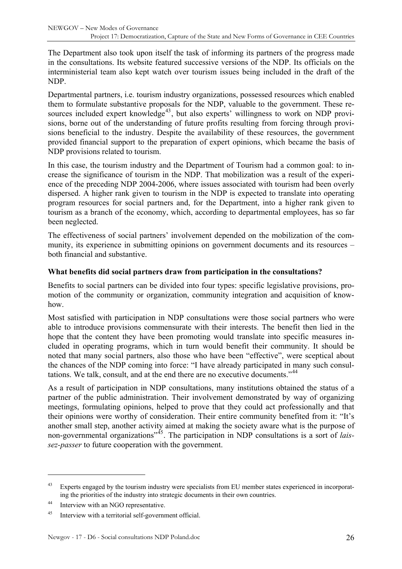The Department also took upon itself the task of informing its partners of the progress made in the consultations. Its website featured successive versions of the NDP. Its officials on the interministerial team also kept watch over tourism issues being included in the draft of the NDP.

Departmental partners, i.e. tourism industry organizations, possessed resources which enabled them to formulate substantive proposals for the NDP, valuable to the government. These re-sources included expert knowledge<sup>[43](#page-25-0)</sup>, but also experts' willingness to work on NDP provisions, borne out of the understanding of future profits resulting from forcing through provisions beneficial to the industry. Despite the availability of these resources, the government provided financial support to the preparation of expert opinions, which became the basis of NDP provisions related to tourism.

In this case, the tourism industry and the Department of Tourism had a common goal: to increase the significance of tourism in the NDP. That mobilization was a result of the experience of the preceding NDP 2004-2006, where issues associated with tourism had been overly dispersed. A higher rank given to tourism in the NDP is expected to translate into operating program resources for social partners and, for the Department, into a higher rank given to tourism as a branch of the economy, which, according to departmental employees, has so far been neglected.

The effectiveness of social partners' involvement depended on the mobilization of the community, its experience in submitting opinions on government documents and its resources – both financial and substantive.

#### **What benefits did social partners draw from participation in the consultations?**

Benefits to social partners can be divided into four types: specific legislative provisions, promotion of the community or organization, community integration and acquisition of knowhow.

Most satisfied with participation in NDP consultations were those social partners who were able to introduce provisions commensurate with their interests. The benefit then lied in the hope that the content they have been promoting would translate into specific measures included in operating programs, which in turn would benefit their community. It should be noted that many social partners, also those who have been "effective", were sceptical about the chances of the NDP coming into force: "I have already participated in many such consul-tations. We talk, consult, and at the end there are no executive documents."<sup>[44](#page-25-1)</sup>

As a result of participation in NDP consultations, many institutions obtained the status of a partner of the public administration. Their involvement demonstrated by way of organizing meetings, formulating opinions, helped to prove that they could act professionally and that their opinions were worthy of consideration. Their entire community benefited from it: "It's another small step, another activity aimed at making the society aware what is the purpose of non-governmental organizations<sup>7[45](#page-25-2)</sup>. The participation in NDP consultations is a sort of *laissez-passer* to future cooperation with the government.

<span id="page-25-0"></span><sup>&</sup>lt;sup>43</sup> Experts engaged by the tourism industry were specialists from EU member states experienced in incorporating the priorities of the industry into strategic documents in their own countries.

<span id="page-25-1"></span><sup>44</sup> Interview with an NGO representative.

<span id="page-25-2"></span><sup>45</sup> Interview with a territorial self-government official.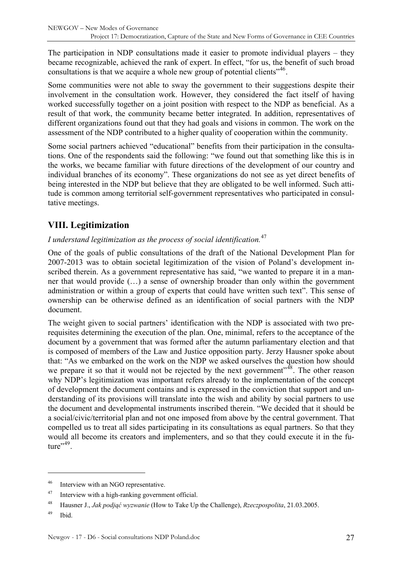<span id="page-26-0"></span>The participation in NDP consultations made it easier to promote individual players – they became recognizable, achieved the rank of expert. In effect, "for us, the benefit of such broad consultations is that we acquire a whole new group of potential clients<sup> $146$  $146$ </sup>.

Some communities were not able to sway the government to their suggestions despite their involvement in the consultation work. However, they considered the fact itself of having worked successfully together on a joint position with respect to the NDP as beneficial. As a result of that work, the community became better integrated. In addition, representatives of different organizations found out that they had goals and visions in common. The work on the assessment of the NDP contributed to a higher quality of cooperation within the community.

Some social partners achieved "educational" benefits from their participation in the consultations. One of the respondents said the following: "we found out that something like this is in the works, we became familiar with future directions of the development of our country and individual branches of its economy". These organizations do not see as yet direct benefits of being interested in the NDP but believe that they are obligated to be well informed. Such attitude is common among territorial self-government representatives who participated in consultative meetings.

# **VIII. Legitimization**

# *I understand legitimization as the process of social identification.*[47](#page-26-2)

One of the goals of public consultations of the draft of the National Development Plan for 2007-2013 was to obtain societal legitimization of the vision of Poland's development inscribed therein. As a government representative has said, "we wanted to prepare it in a manner that would provide (…) a sense of ownership broader than only within the government administration or within a group of experts that could have written such text". This sense of ownership can be otherwise defined as an identification of social partners with the NDP document.

The weight given to social partners' identification with the NDP is associated with two prerequisites determining the execution of the plan. One, minimal, refers to the acceptance of the document by a government that was formed after the autumn parliamentary election and that is composed of members of the Law and Justice opposition party. Jerzy Hausner spoke about that: "As we embarked on the work on the NDP we asked ourselves the question how should we prepare it so that it would not be rejected by the next government"<sup>[48](#page-26-3)</sup>. The other reason why NDP's legitimization was important refers already to the implementation of the concept of development the document contains and is expressed in the conviction that support and understanding of its provisions will translate into the wish and ability by social partners to use the document and developmental instruments inscribed therein. "We decided that it should be a social/civic/territorial plan and not one imposed from above by the central government. That compelled us to treat all sides participating in its consultations as equal partners. So that they would all become its creators and implementers, and so that they could execute it in the fu-ture".<sup>[49](#page-26-4)</sup>.

<span id="page-26-1"></span><sup>&</sup>lt;sup>46</sup> Interview with an NGO representative.

<span id="page-26-2"></span><sup>&</sup>lt;sup>47</sup> Interview with a high-ranking government official.

<span id="page-26-3"></span><sup>48</sup> Hausner J., *Jak podjąć wyzwanie* (How to Take Up the Challenge), *Rzeczpospolita*, 21.03.2005.

<span id="page-26-4"></span><sup>49</sup> Ibid.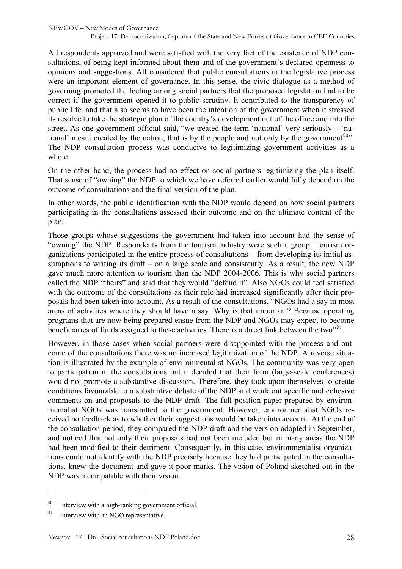All respondents approved and were satisfied with the very fact of the existence of NDP consultations, of being kept informed about them and of the government's declared openness to opinions and suggestions. All considered that public consultations in the legislative process were an important element of governance. In this sense, the civic dialogue as a method of governing promoted the feeling among social partners that the proposed legislation had to be correct if the government opened it to public scrutiny. It contributed to the transparency of public life, and that also seems to have been the intention of the government when it stressed its resolve to take the strategic plan of the country's development out of the office and into the street. As one government official said, "we treated the term 'national' very seriously – 'na-tional' meant created by the nation, that is by the people and not only by the government<sup>[50](#page-27-0)</sup>". The NDP consultation process was conducive to legitimizing government activities as a whole.

On the other hand, the process had no effect on social partners legitimizing the plan itself. That sense of "owning" the NDP to which we have referred earlier would fully depend on the outcome of consultations and the final version of the plan.

In other words, the public identification with the NDP would depend on how social partners participating in the consultations assessed their outcome and on the ultimate content of the plan.

Those groups whose suggestions the government had taken into account had the sense of "owning" the NDP. Respondents from the tourism industry were such a group. Tourism organizations participated in the entire process of consultations – from developing its initial assumptions to writing its draft – on a large scale and consistently. As a result, the new NDP gave much more attention to tourism than the NDP 2004-2006. This is why social partners called the NDP "theirs" and said that they would "defend it". Also NGOs could feel satisfied with the outcome of the consultations as their role had increased significantly after their proposals had been taken into account. As a result of the consultations, "NGOs had a say in most areas of activities where they should have a say. Why is that important? Because operating programs that are now being prepared ensue from the NDP and NGOs may expect to become beneficiaries of funds assigned to these activities. There is a direct link between the two<sup> $51$ </sup>.

However, in those cases when social partners were disappointed with the process and outcome of the consultations there was no increased legitimization of the NDP. A reverse situation is illustrated by the example of environmentalist NGOs. The community was very open to participation in the consultations but it decided that their form (large-scale conferences) would not promote a substantive discussion. Therefore, they took upon themselves to create conditions favourable to a substantive debate of the NDP and work out specific and cohesive comments on and proposals to the NDP draft. The full position paper prepared by environmentalist NGOs was transmitted to the government. However, environmentalist NGOs received no feedback as to whether their suggestions would be taken into account. At the end of the consultation period, they compared the NDP draft and the version adopted in September, and noticed that not only their proposals had not been included but in many areas the NDP had been modified to their detriment. Consequently, in this case, environmentalist organizations could not identify with the NDP precisely because they had participated in the consultations, knew the document and gave it poor marks. The vision of Poland sketched out in the NDP was incompatible with their vision.

<span id="page-27-0"></span><sup>50</sup> Interview with a high-ranking government official.

<span id="page-27-1"></span><sup>&</sup>lt;sup>51</sup> Interview with an NGO representative.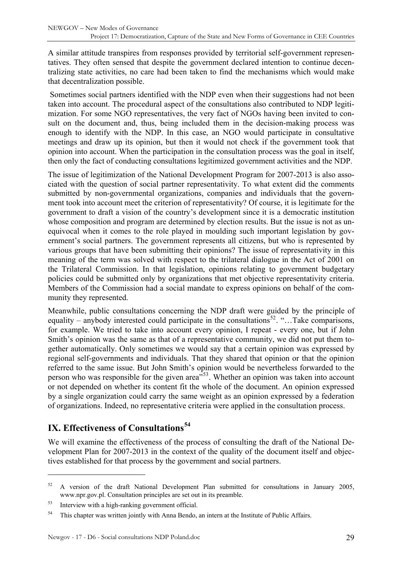<span id="page-28-0"></span>A similar attitude transpires from responses provided by territorial self-government representatives. They often sensed that despite the government declared intention to continue decentralizing state activities, no care had been taken to find the mechanisms which would make that decentralization possible.

 Sometimes social partners identified with the NDP even when their suggestions had not been taken into account. The procedural aspect of the consultations also contributed to NDP legitimization. For some NGO representatives, the very fact of NGOs having been invited to consult on the document and, thus, being included them in the decision-making process was enough to identify with the NDP. In this case, an NGO would participate in consultative meetings and draw up its opinion, but then it would not check if the government took that opinion into account. When the participation in the consultation process was the goal in itself, then only the fact of conducting consultations legitimized government activities and the NDP.

The issue of legitimization of the National Development Program for 2007-2013 is also associated with the question of social partner representativity. To what extent did the comments submitted by non-governmental organizations, companies and individuals that the government took into account meet the criterion of representativity? Of course, it is legitimate for the government to draft a vision of the country's development since it is a democratic institution whose composition and program are determined by election results. But the issue is not as unequivocal when it comes to the role played in moulding such important legislation by government's social partners. The government represents all citizens, but who is represented by various groups that have been submitting their opinions? The issue of representativity in this meaning of the term was solved with respect to the trilateral dialogue in the Act of 2001 on the Trilateral Commission. In that legislation, opinions relating to government budgetary policies could be submitted only by organizations that met objective representativity criteria. Members of the Commission had a social mandate to express opinions on behalf of the community they represented.

Meanwhile, public consultations concerning the NDP draft were guided by the principle of equality – anybody interested could participate in the consultations<sup>[52](#page-28-1)</sup>. "…Take comparisons, for example. We tried to take into account every opinion, I repeat - every one, but if John Smith's opinion was the same as that of a representative community, we did not put them together automatically. Only sometimes we would say that a certain opinion was expressed by regional self-governments and individuals. That they shared that opinion or that the opinion referred to the same issue. But John Smith's opinion would be nevertheless forwarded to the person who was responsible for the given area<sup> $553$  $553$ </sup>. Whether an opinion was taken into account or not depended on whether its content fit the whole of the document. An opinion expressed by a single organization could carry the same weight as an opinion expressed by a federation of organizations. Indeed, no representative criteria were applied in the consultation process.

# **IX. Effectiveness of Consultations[54](#page-28-3)**

 $\overline{a}$ 

We will examine the effectiveness of the process of consulting the draft of the National Development Plan for 2007-2013 in the context of the quality of the document itself and objectives established for that process by the government and social partners.

<span id="page-28-1"></span> $52$  A version of the draft National Development Plan submitted for consultations in January 2005, www.npr.gov.pl. Consultation principles are set out in its preamble.

<span id="page-28-2"></span><sup>53</sup> Interview with a high-ranking government official.

<span id="page-28-3"></span><sup>&</sup>lt;sup>54</sup> This chapter was written jointly with Anna Bendo, an intern at the Institute of Public Affairs.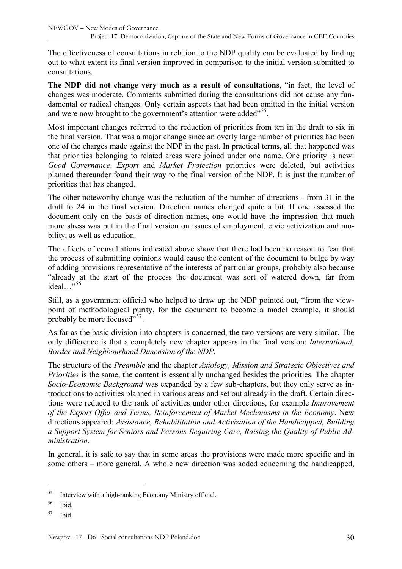The effectiveness of consultations in relation to the NDP quality can be evaluated by finding out to what extent its final version improved in comparison to the initial version submitted to consultations.

**The NDP did not change very much as a result of consultations**, "in fact, the level of changes was moderate. Comments submitted during the consultations did not cause any fundamental or radical changes. Only certain aspects that had been omitted in the initial version and were now brought to the government's attention were added<sup>"[55](#page-29-0)</sup>.

Most important changes referred to the reduction of priorities from ten in the draft to six in the final version. That was a major change since an overly large number of priorities had been one of the charges made against the NDP in the past. In practical terms, all that happened was that priorities belonging to related areas were joined under one name. One priority is new: *Good Governance*. *Export* and *Market Protection* priorities were deleted, but activities planned thereunder found their way to the final version of the NDP. It is just the number of priorities that has changed.

The other noteworthy change was the reduction of the number of directions - from 31 in the draft to 24 in the final version. Direction names changed quite a bit. If one assessed the document only on the basis of direction names, one would have the impression that much more stress was put in the final version on issues of employment, civic activization and mobility, as well as education.

The effects of consultations indicated above show that there had been no reason to fear that the process of submitting opinions would cause the content of the document to bulge by way of adding provisions representative of the interests of particular groups, probably also because "already at the start of the process the document was sort of watered down, far from ideal...<sup>5[56](#page-29-1)</sup>

Still, as a government official who helped to draw up the NDP pointed out, "from the viewpoint of methodological purity, for the document to become a model example, it should probably be more focused"<sup>[57](#page-29-2)</sup>.

As far as the basic division into chapters is concerned, the two versions are very similar. The only difference is that a completely new chapter appears in the final version: *International, Border and Neighbourhood Dimension of the NDP*.

The structure of the *Preamble* and the chapter *Axiology, Mission and Strategic Objectives and Priorities* is the same, the content is essentially unchanged besides the priorities. The chapter *Socio-Economic Background* was expanded by a few sub-chapters, but they only serve as introductions to activities planned in various areas and set out already in the draft. Certain directions were reduced to the rank of activities under other directions, for example *Improvement of the Export Offer and Terms, Reinforcement of Market Mechanisms in the Economy*. New directions appeared: *Assistance, Rehabilitation and Activization of the Handicapped, Building a Support System for Seniors and Persons Requiring Care, Raising the Quality of Public Administration*.

In general, it is safe to say that in some areas the provisions were made more specific and in some others – more general. A whole new direction was added concerning the handicapped,

<span id="page-29-0"></span> $55$  Interview with a high-ranking Economy Ministry official.

<span id="page-29-1"></span><sup>56</sup> Ibid.

<span id="page-29-2"></span> $57$  Ibid.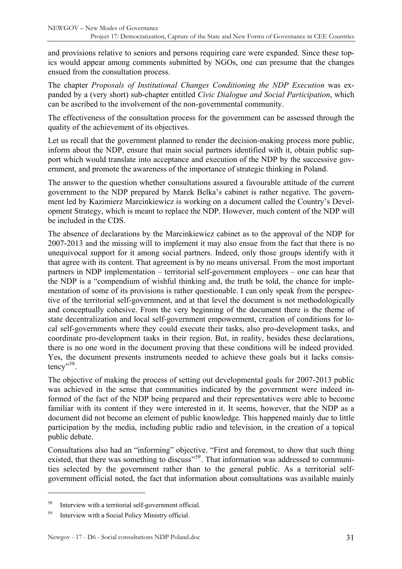and provisions relative to seniors and persons requiring care were expanded. Since these topics would appear among comments submitted by NGOs, one can presume that the changes ensued from the consultation process.

The chapter *Proposals of Institutional Changes Conditioning the NDP Execution* was expanded by a (very short) sub-chapter entitled *Civic Dialogue and Social Participation*, which can be ascribed to the involvement of the non-governmental community.

The effectiveness of the consultation process for the government can be assessed through the quality of the achievement of its objectives.

Let us recall that the government planned to render the decision-making process more public, inform about the NDP, ensure that main social partners identified with it, obtain public support which would translate into acceptance and execution of the NDP by the successive government, and promote the awareness of the importance of strategic thinking in Poland.

The answer to the question whether consultations assured a favourable attitude of the current government to the NDP prepared by Marek Belka's cabinet is rather negative. The government led by Kazimierz Marcinkiewicz is working on a document called the Country's Development Strategy, which is meant to replace the NDP. However, much content of the NDP will be included in the CDS.

The absence of declarations by the Marcinkiewicz cabinet as to the approval of the NDP for 2007-2013 and the missing will to implement it may also ensue from the fact that there is no unequivocal support for it among social partners. Indeed, only those groups identify with it that agree with its content. That agreement is by no means universal. From the most important partners in NDP implementation – territorial self-government employees – one can hear that the NDP is a "compendium of wishful thinking and, the truth be told, the chance for implementation of some of its provisions is rather questionable. I can only speak from the perspective of the territorial self-government, and at that level the document is not methodologically and conceptually cohesive. From the very beginning of the document there is the theme of state decentralization and local self-government empowerment, creation of conditions for local self-governments where they could execute their tasks, also pro-development tasks, and coordinate pro-development tasks in their region. But, in reality, besides these declarations, there is no one word in the document proving that these conditions will be indeed provided. Yes, the document presents instruments needed to achieve these goals but it lacks consis-tency"<sup>[58](#page-30-0)</sup>.

The objective of making the process of setting out developmental goals for 2007-2013 public was achieved in the sense that communities indicated by the government were indeed informed of the fact of the NDP being prepared and their representatives were able to become familiar with its content if they were interested in it. It seems, however, that the NDP as a document did not become an element of public knowledge. This happened mainly due to little participation by the media, including public radio and television, in the creation of a topical public debate.

Consultations also had an "informing" objective. "First and foremost, to show that such thing existed, that there was something to discuss"<sup>[59](#page-30-1)</sup>. That information was addressed to communities selected by the government rather than to the general public. As a territorial selfgovernment official noted, the fact that information about consultations was available mainly

<span id="page-30-0"></span><sup>58</sup> Interview with a territorial self-government official.

<span id="page-30-1"></span><sup>59</sup> Interview with a Social Policy Ministry official.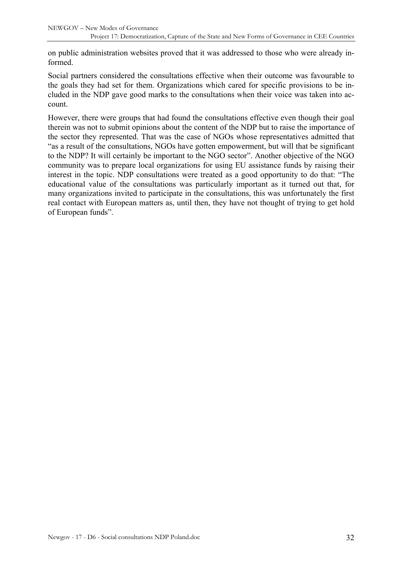on public administration websites proved that it was addressed to those who were already informed.

Social partners considered the consultations effective when their outcome was favourable to the goals they had set for them. Organizations which cared for specific provisions to be included in the NDP gave good marks to the consultations when their voice was taken into account.

However, there were groups that had found the consultations effective even though their goal therein was not to submit opinions about the content of the NDP but to raise the importance of the sector they represented. That was the case of NGOs whose representatives admitted that "as a result of the consultations, NGOs have gotten empowerment, but will that be significant to the NDP? It will certainly be important to the NGO sector". Another objective of the NGO community was to prepare local organizations for using EU assistance funds by raising their interest in the topic. NDP consultations were treated as a good opportunity to do that: "The educational value of the consultations was particularly important as it turned out that, for many organizations invited to participate in the consultations, this was unfortunately the first real contact with European matters as, until then, they have not thought of trying to get hold of European funds".